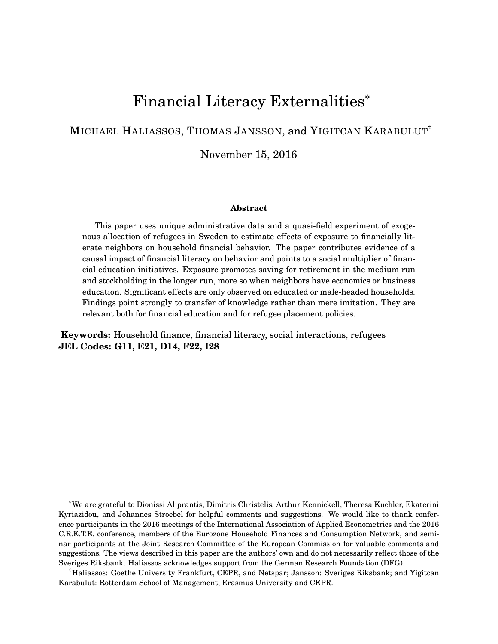# Financial Literacy Externalities\*

### MICHAEL HALIASSOS, THOMAS JANSSON, and YIGITCAN KARABULUT†

November 15, 2016

#### **Abstract**

This paper uses unique administrative data and a quasi-field experiment of exogenous allocation of refugees in Sweden to estimate effects of exposure to financially literate neighbors on household financial behavior. The paper contributes evidence of a causal impact of financial literacy on behavior and points to a social multiplier of financial education initiatives. Exposure promotes saving for retirement in the medium run and stockholding in the longer run, more so when neighbors have economics or business education. Significant effects are only observed on educated or male-headed households. Findings point strongly to transfer of knowledge rather than mere imitation. They are relevant both for financial education and for refugee placement policies.

**Keywords:** Household finance, financial literacy, social interactions, refugees **JEL Codes: G11, E21, D14, F22, I28**

<sup>\*</sup>We are grateful to Dionissi Aliprantis, Dimitris Christelis, Arthur Kennickell, Theresa Kuchler, Ekaterini Kyriazidou, and Johannes Stroebel for helpful comments and suggestions. We would like to thank conference participants in the 2016 meetings of the International Association of Applied Econometrics and the 2016 C.R.E.T.E. conference, members of the Eurozone Household Finances and Consumption Network, and seminar participants at the Joint Research Committee of the European Commission for valuable comments and suggestions. The views described in this paper are the authors' own and do not necessarily reflect those of the Sveriges Riksbank. Haliassos acknowledges support from the German Research Foundation (DFG).

<sup>†</sup>Haliassos: Goethe University Frankfurt, CEPR, and Netspar; Jansson: Sveriges Riksbank; and Yigitcan Karabulut: Rotterdam School of Management, Erasmus University and CEPR.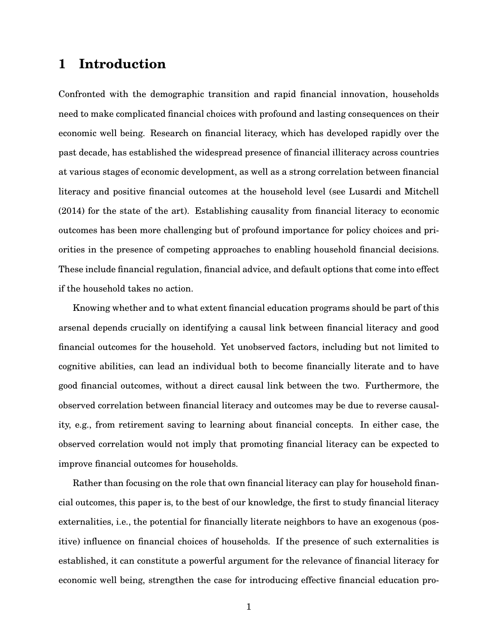## **1 Introduction**

Confronted with the demographic transition and rapid financial innovation, households need to make complicated financial choices with profound and lasting consequences on their economic well being. Research on financial literacy, which has developed rapidly over the past decade, has established the widespread presence of financial illiteracy across countries at various stages of economic development, as well as a strong correlation between financial literacy and positive financial outcomes at the household level (see Lusardi and Mitchell (2014) for the state of the art). Establishing causality from financial literacy to economic outcomes has been more challenging but of profound importance for policy choices and priorities in the presence of competing approaches to enabling household financial decisions. These include financial regulation, financial advice, and default options that come into effect if the household takes no action.

Knowing whether and to what extent financial education programs should be part of this arsenal depends crucially on identifying a causal link between financial literacy and good financial outcomes for the household. Yet unobserved factors, including but not limited to cognitive abilities, can lead an individual both to become financially literate and to have good financial outcomes, without a direct causal link between the two. Furthermore, the observed correlation between financial literacy and outcomes may be due to reverse causality, e.g., from retirement saving to learning about financial concepts. In either case, the observed correlation would not imply that promoting financial literacy can be expected to improve financial outcomes for households.

Rather than focusing on the role that own financial literacy can play for household financial outcomes, this paper is, to the best of our knowledge, the first to study financial literacy externalities, i.e., the potential for financially literate neighbors to have an exogenous (positive) influence on financial choices of households. If the presence of such externalities is established, it can constitute a powerful argument for the relevance of financial literacy for economic well being, strengthen the case for introducing effective financial education pro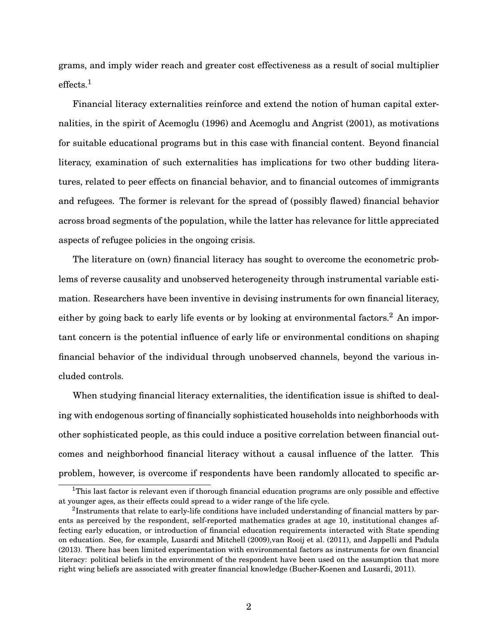grams, and imply wider reach and greater cost effectiveness as a result of social multiplier  $effects.<sup>1</sup>$ 

Financial literacy externalities reinforce and extend the notion of human capital externalities, in the spirit of Acemoglu (1996) and Acemoglu and Angrist (2001), as motivations for suitable educational programs but in this case with financial content. Beyond financial literacy, examination of such externalities has implications for two other budding literatures, related to peer effects on financial behavior, and to financial outcomes of immigrants and refugees. The former is relevant for the spread of (possibly flawed) financial behavior across broad segments of the population, while the latter has relevance for little appreciated aspects of refugee policies in the ongoing crisis.

The literature on (own) financial literacy has sought to overcome the econometric problems of reverse causality and unobserved heterogeneity through instrumental variable estimation. Researchers have been inventive in devising instruments for own financial literacy, either by going back to early life events or by looking at environmental factors.<sup>2</sup> An important concern is the potential influence of early life or environmental conditions on shaping financial behavior of the individual through unobserved channels, beyond the various included controls.

When studying financial literacy externalities, the identification issue is shifted to dealing with endogenous sorting of financially sophisticated households into neighborhoods with other sophisticated people, as this could induce a positive correlation between financial outcomes and neighborhood financial literacy without a causal influence of the latter. This problem, however, is overcome if respondents have been randomly allocated to specific ar-

<sup>&</sup>lt;sup>1</sup>This last factor is relevant even if thorough financial education programs are only possible and effective at younger ages, as their effects could spread to a wider range of the life cycle.

 $^2$ Instruments that relate to early-life conditions have included understanding of financial matters by parents as perceived by the respondent, self-reported mathematics grades at age 10, institutional changes affecting early education, or introduction of financial education requirements interacted with State spending on education. See, for example, Lusardi and Mitchell (2009),van Rooij et al. (2011), and Jappelli and Padula (2013). There has been limited experimentation with environmental factors as instruments for own financial literacy: political beliefs in the environment of the respondent have been used on the assumption that more right wing beliefs are associated with greater financial knowledge (Bucher-Koenen and Lusardi, 2011).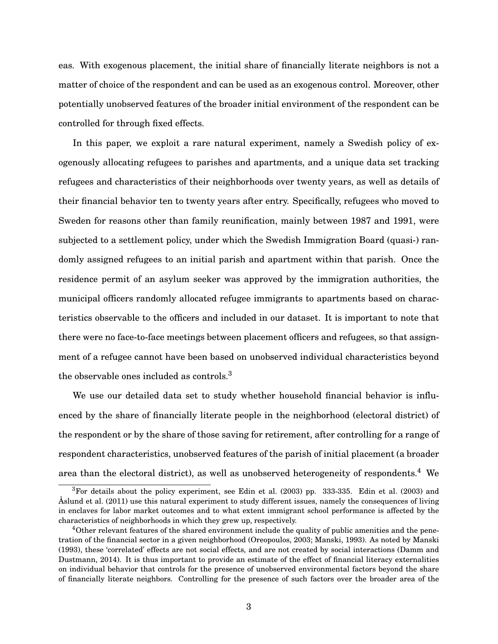eas. With exogenous placement, the initial share of financially literate neighbors is not a matter of choice of the respondent and can be used as an exogenous control. Moreover, other potentially unobserved features of the broader initial environment of the respondent can be controlled for through fixed effects.

In this paper, we exploit a rare natural experiment, namely a Swedish policy of exogenously allocating refugees to parishes and apartments, and a unique data set tracking refugees and characteristics of their neighborhoods over twenty years, as well as details of their financial behavior ten to twenty years after entry. Specifically, refugees who moved to Sweden for reasons other than family reunification, mainly between 1987 and 1991, were subjected to a settlement policy, under which the Swedish Immigration Board (quasi-) randomly assigned refugees to an initial parish and apartment within that parish. Once the residence permit of an asylum seeker was approved by the immigration authorities, the municipal officers randomly allocated refugee immigrants to apartments based on characteristics observable to the officers and included in our dataset. It is important to note that there were no face-to-face meetings between placement officers and refugees, so that assignment of a refugee cannot have been based on unobserved individual characteristics beyond the observable ones included as controls.<sup>3</sup>

We use our detailed data set to study whether household financial behavior is influenced by the share of financially literate people in the neighborhood (electoral district) of the respondent or by the share of those saving for retirement, after controlling for a range of respondent characteristics, unobserved features of the parish of initial placement (a broader area than the electoral district), as well as unobserved heterogeneity of respondents.<sup>4</sup> We

<sup>3</sup>For details about the policy experiment, see Edin et al. (2003) pp. 333-335. Edin et al. (2003) and Åslund et al. (2011) use this natural experiment to study different issues, namely the consequences of living in enclaves for labor market outcomes and to what extent immigrant school performance is affected by the characteristics of neighborhoods in which they grew up, respectively.

<sup>4</sup>Other relevant features of the shared environment include the quality of public amenities and the penetration of the financial sector in a given neighborhood (Oreopoulos, 2003; Manski, 1993). As noted by Manski (1993), these 'correlated' effects are not social effects, and are not created by social interactions (Damm and Dustmann, 2014). It is thus important to provide an estimate of the effect of financial literacy externalities on individual behavior that controls for the presence of unobserved environmental factors beyond the share of financially literate neighbors. Controlling for the presence of such factors over the broader area of the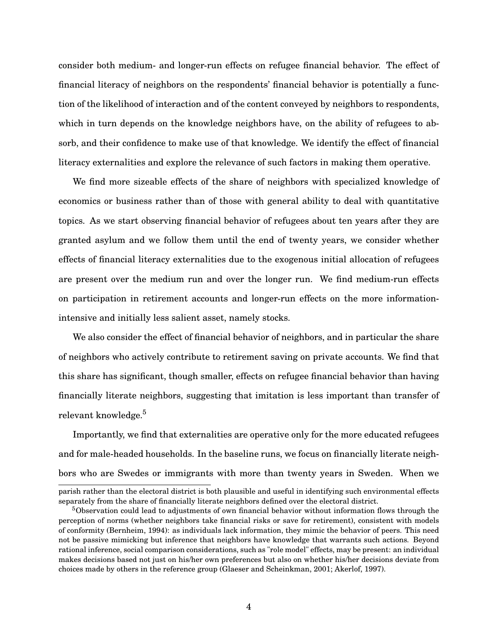consider both medium- and longer-run effects on refugee financial behavior. The effect of financial literacy of neighbors on the respondents' financial behavior is potentially a function of the likelihood of interaction and of the content conveyed by neighbors to respondents, which in turn depends on the knowledge neighbors have, on the ability of refugees to absorb, and their confidence to make use of that knowledge. We identify the effect of financial literacy externalities and explore the relevance of such factors in making them operative.

We find more sizeable effects of the share of neighbors with specialized knowledge of economics or business rather than of those with general ability to deal with quantitative topics. As we start observing financial behavior of refugees about ten years after they are granted asylum and we follow them until the end of twenty years, we consider whether effects of financial literacy externalities due to the exogenous initial allocation of refugees are present over the medium run and over the longer run. We find medium-run effects on participation in retirement accounts and longer-run effects on the more informationintensive and initially less salient asset, namely stocks.

We also consider the effect of financial behavior of neighbors, and in particular the share of neighbors who actively contribute to retirement saving on private accounts. We find that this share has significant, though smaller, effects on refugee financial behavior than having financially literate neighbors, suggesting that imitation is less important than transfer of relevant knowledge.<sup>5</sup>

Importantly, we find that externalities are operative only for the more educated refugees and for male-headed households. In the baseline runs, we focus on financially literate neighbors who are Swedes or immigrants with more than twenty years in Sweden. When we

parish rather than the electoral district is both plausible and useful in identifying such environmental effects separately from the share of financially literate neighbors defined over the electoral district.

<sup>&</sup>lt;sup>5</sup>Observation could lead to adjustments of own financial behavior without information flows through the perception of norms (whether neighbors take financial risks or save for retirement), consistent with models of conformity (Bernheim, 1994): as individuals lack information, they mimic the behavior of peers. This need not be passive mimicking but inference that neighbors have knowledge that warrants such actions. Beyond rational inference, social comparison considerations, such as "role model" effects, may be present: an individual makes decisions based not just on his/her own preferences but also on whether his/her decisions deviate from choices made by others in the reference group (Glaeser and Scheinkman, 2001; Akerlof, 1997).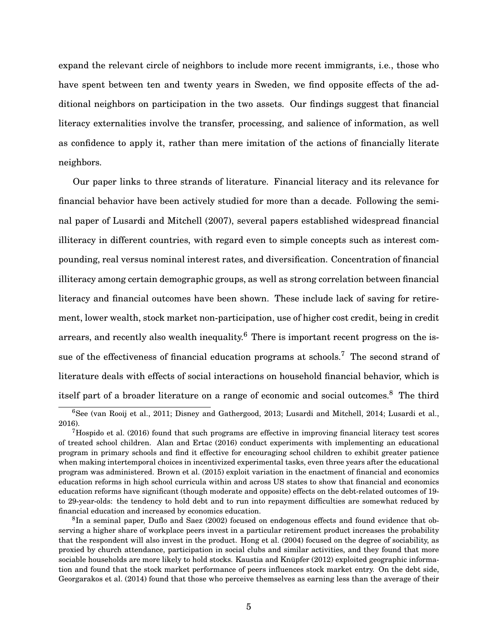expand the relevant circle of neighbors to include more recent immigrants, i.e., those who have spent between ten and twenty years in Sweden, we find opposite effects of the additional neighbors on participation in the two assets. Our findings suggest that financial literacy externalities involve the transfer, processing, and salience of information, as well as confidence to apply it, rather than mere imitation of the actions of financially literate neighbors.

Our paper links to three strands of literature. Financial literacy and its relevance for financial behavior have been actively studied for more than a decade. Following the seminal paper of Lusardi and Mitchell (2007), several papers established widespread financial illiteracy in different countries, with regard even to simple concepts such as interest compounding, real versus nominal interest rates, and diversification. Concentration of financial illiteracy among certain demographic groups, as well as strong correlation between financial literacy and financial outcomes have been shown. These include lack of saving for retirement, lower wealth, stock market non-participation, use of higher cost credit, being in credit arrears, and recently also wealth inequality.<sup>6</sup> There is important recent progress on the issue of the effectiveness of financial education programs at schools.<sup>7</sup> The second strand of literature deals with effects of social interactions on household financial behavior, which is itself part of a broader literature on a range of economic and social outcomes.<sup>8</sup> The third

<sup>6</sup>See (van Rooij et al., 2011; Disney and Gathergood, 2013; Lusardi and Mitchell, 2014; Lusardi et al., 2016).

 $7H$ ospido et al. (2016) found that such programs are effective in improving financial literacy test scores of treated school children. Alan and Ertac (2016) conduct experiments with implementing an educational program in primary schools and find it effective for encouraging school children to exhibit greater patience when making intertemporal choices in incentivized experimental tasks, even three years after the educational program was administered. Brown et al. (2015) exploit variation in the enactment of financial and economics education reforms in high school curricula within and across US states to show that financial and economics education reforms have significant (though moderate and opposite) effects on the debt-related outcomes of 19 to 29-year-olds: the tendency to hold debt and to run into repayment difficulties are somewhat reduced by financial education and increased by economics education.

 ${}^{8}$ In a seminal paper, Duflo and Saez (2002) focused on endogenous effects and found evidence that observing a higher share of workplace peers invest in a particular retirement product increases the probability that the respondent will also invest in the product. Hong et al. (2004) focused on the degree of sociability, as proxied by church attendance, participation in social clubs and similar activities, and they found that more sociable households are more likely to hold stocks. Kaustia and Knüpfer (2012) exploited geographic information and found that the stock market performance of peers influences stock market entry. On the debt side, Georgarakos et al. (2014) found that those who perceive themselves as earning less than the average of their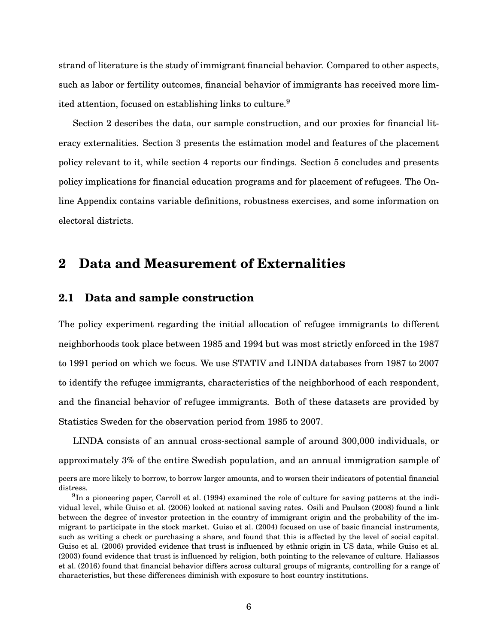strand of literature is the study of immigrant financial behavior. Compared to other aspects, such as labor or fertility outcomes, financial behavior of immigrants has received more limited attention, focused on establishing links to culture.<sup>9</sup>

Section 2 describes the data, our sample construction, and our proxies for financial literacy externalities. Section 3 presents the estimation model and features of the placement policy relevant to it, while section 4 reports our findings. Section 5 concludes and presents policy implications for financial education programs and for placement of refugees. The Online Appendix contains variable definitions, robustness exercises, and some information on electoral districts.

### **2 Data and Measurement of Externalities**

#### **2.1 Data and sample construction**

The policy experiment regarding the initial allocation of refugee immigrants to different neighborhoods took place between 1985 and 1994 but was most strictly enforced in the 1987 to 1991 period on which we focus. We use STATIV and LINDA databases from 1987 to 2007 to identify the refugee immigrants, characteristics of the neighborhood of each respondent, and the financial behavior of refugee immigrants. Both of these datasets are provided by Statistics Sweden for the observation period from 1985 to 2007.

LINDA consists of an annual cross-sectional sample of around 300,000 individuals, or approximately 3% of the entire Swedish population, and an annual immigration sample of

peers are more likely to borrow, to borrow larger amounts, and to worsen their indicators of potential financial distress.

 $9$ In a pioneering paper, Carroll et al. (1994) examined the role of culture for saving patterns at the individual level, while Guiso et al. (2006) looked at national saving rates. Osili and Paulson (2008) found a link between the degree of investor protection in the country of immigrant origin and the probability of the immigrant to participate in the stock market. Guiso et al. (2004) focused on use of basic financial instruments, such as writing a check or purchasing a share, and found that this is affected by the level of social capital. Guiso et al. (2006) provided evidence that trust is influenced by ethnic origin in US data, while Guiso et al. (2003) found evidence that trust is influenced by religion, both pointing to the relevance of culture. Haliassos et al. (2016) found that financial behavior differs across cultural groups of migrants, controlling for a range of characteristics, but these differences diminish with exposure to host country institutions.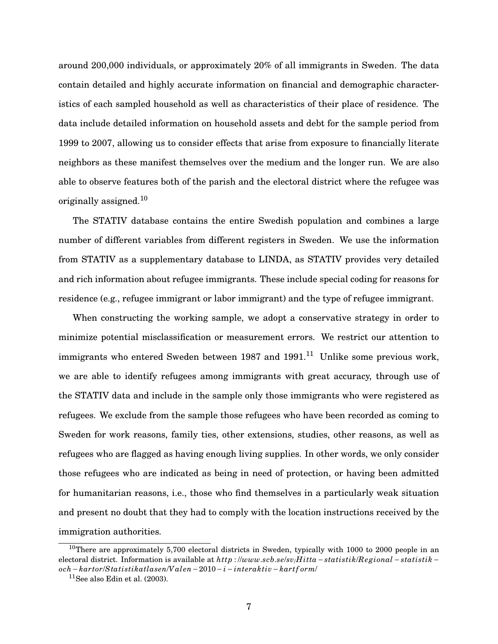around 200,000 individuals, or approximately 20% of all immigrants in Sweden. The data contain detailed and highly accurate information on financial and demographic characteristics of each sampled household as well as characteristics of their place of residence. The data include detailed information on household assets and debt for the sample period from 1999 to 2007, allowing us to consider effects that arise from exposure to financially literate neighbors as these manifest themselves over the medium and the longer run. We are also able to observe features both of the parish and the electoral district where the refugee was originally assigned.<sup>10</sup>

The STATIV database contains the entire Swedish population and combines a large number of different variables from different registers in Sweden. We use the information from STATIV as a supplementary database to LINDA, as STATIV provides very detailed and rich information about refugee immigrants. These include special coding for reasons for residence (e.g., refugee immigrant or labor immigrant) and the type of refugee immigrant.

When constructing the working sample, we adopt a conservative strategy in order to minimize potential misclassification or measurement errors. We restrict our attention to immigrants who entered Sweden between 1987 and 1991.<sup>11</sup> Unlike some previous work, we are able to identify refugees among immigrants with great accuracy, through use of the STATIV data and include in the sample only those immigrants who were registered as refugees. We exclude from the sample those refugees who have been recorded as coming to Sweden for work reasons, family ties, other extensions, studies, other reasons, as well as refugees who are flagged as having enough living supplies. In other words, we only consider those refugees who are indicated as being in need of protection, or having been admitted for humanitarian reasons, i.e., those who find themselves in a particularly weak situation and present no doubt that they had to comply with the location instructions received by the immigration authorities.

 $10$ There are approximately 5,700 electoral districts in Sweden, typically with 1000 to 2000 people in an electoral district. Information is available at *http* : //*www*.*scb*.*se*/*sv*/*H itta* − *statistik*/*Re gional* − *statistik* − *och*− *kartor*/*Statistikatlasen*/*V alen*−2010− *i* − *interaktiv* − *kart f orm*/

 $11$ See also Edin et al. (2003).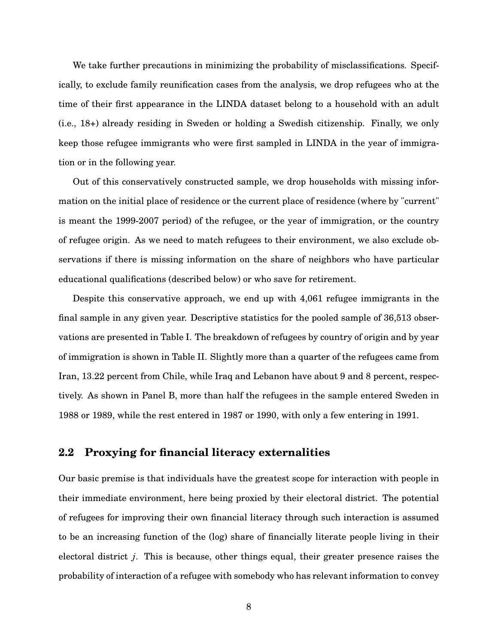We take further precautions in minimizing the probability of misclassifications. Specifically, to exclude family reunification cases from the analysis, we drop refugees who at the time of their first appearance in the LINDA dataset belong to a household with an adult (i.e., 18+) already residing in Sweden or holding a Swedish citizenship. Finally, we only keep those refugee immigrants who were first sampled in LINDA in the year of immigration or in the following year.

Out of this conservatively constructed sample, we drop households with missing information on the initial place of residence or the current place of residence (where by "current" is meant the 1999-2007 period) of the refugee, or the year of immigration, or the country of refugee origin. As we need to match refugees to their environment, we also exclude observations if there is missing information on the share of neighbors who have particular educational qualifications (described below) or who save for retirement.

Despite this conservative approach, we end up with 4,061 refugee immigrants in the final sample in any given year. Descriptive statistics for the pooled sample of 36,513 observations are presented in Table I. The breakdown of refugees by country of origin and by year of immigration is shown in Table II. Slightly more than a quarter of the refugees came from Iran, 13.22 percent from Chile, while Iraq and Lebanon have about 9 and 8 percent, respectively. As shown in Panel B, more than half the refugees in the sample entered Sweden in 1988 or 1989, while the rest entered in 1987 or 1990, with only a few entering in 1991.

#### **2.2 Proxying for financial literacy externalities**

Our basic premise is that individuals have the greatest scope for interaction with people in their immediate environment, here being proxied by their electoral district. The potential of refugees for improving their own financial literacy through such interaction is assumed to be an increasing function of the (log) share of financially literate people living in their electoral district *j*. This is because, other things equal, their greater presence raises the probability of interaction of a refugee with somebody who has relevant information to convey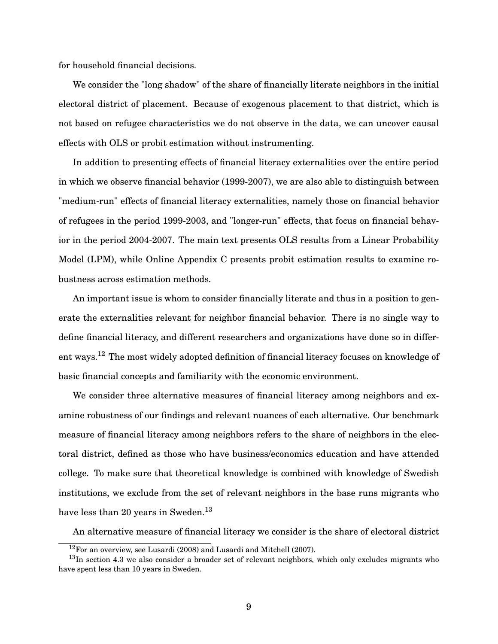for household financial decisions.

We consider the "long shadow" of the share of financially literate neighbors in the initial electoral district of placement. Because of exogenous placement to that district, which is not based on refugee characteristics we do not observe in the data, we can uncover causal effects with OLS or probit estimation without instrumenting.

In addition to presenting effects of financial literacy externalities over the entire period in which we observe financial behavior (1999-2007), we are also able to distinguish between "medium-run" effects of financial literacy externalities, namely those on financial behavior of refugees in the period 1999-2003, and "longer-run" effects, that focus on financial behavior in the period 2004-2007. The main text presents OLS results from a Linear Probability Model (LPM), while Online Appendix C presents probit estimation results to examine robustness across estimation methods.

An important issue is whom to consider financially literate and thus in a position to generate the externalities relevant for neighbor financial behavior. There is no single way to define financial literacy, and different researchers and organizations have done so in different ways.<sup>12</sup> The most widely adopted definition of financial literacy focuses on knowledge of basic financial concepts and familiarity with the economic environment.

We consider three alternative measures of financial literacy among neighbors and examine robustness of our findings and relevant nuances of each alternative. Our benchmark measure of financial literacy among neighbors refers to the share of neighbors in the electoral district, defined as those who have business/economics education and have attended college. To make sure that theoretical knowledge is combined with knowledge of Swedish institutions, we exclude from the set of relevant neighbors in the base runs migrants who have less than 20 years in Sweden.<sup>13</sup>

An alternative measure of financial literacy we consider is the share of electoral district

<sup>12</sup>For an overview, see Lusardi (2008) and Lusardi and Mitchell (2007).

<sup>&</sup>lt;sup>13</sup>In section 4.3 we also consider a broader set of relevant neighbors, which only excludes migrants who have spent less than 10 years in Sweden.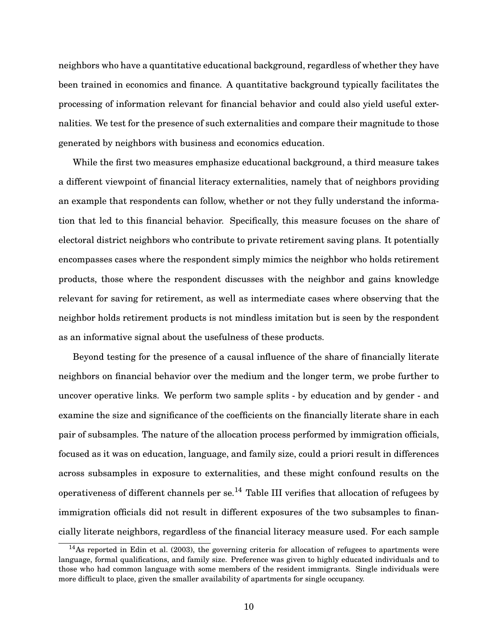neighbors who have a quantitative educational background, regardless of whether they have been trained in economics and finance. A quantitative background typically facilitates the processing of information relevant for financial behavior and could also yield useful externalities. We test for the presence of such externalities and compare their magnitude to those generated by neighbors with business and economics education.

While the first two measures emphasize educational background, a third measure takes a different viewpoint of financial literacy externalities, namely that of neighbors providing an example that respondents can follow, whether or not they fully understand the information that led to this financial behavior. Specifically, this measure focuses on the share of electoral district neighbors who contribute to private retirement saving plans. It potentially encompasses cases where the respondent simply mimics the neighbor who holds retirement products, those where the respondent discusses with the neighbor and gains knowledge relevant for saving for retirement, as well as intermediate cases where observing that the neighbor holds retirement products is not mindless imitation but is seen by the respondent as an informative signal about the usefulness of these products.

Beyond testing for the presence of a causal influence of the share of financially literate neighbors on financial behavior over the medium and the longer term, we probe further to uncover operative links. We perform two sample splits - by education and by gender - and examine the size and significance of the coefficients on the financially literate share in each pair of subsamples. The nature of the allocation process performed by immigration officials, focused as it was on education, language, and family size, could a priori result in differences across subsamples in exposure to externalities, and these might confound results on the operativeness of different channels per se.<sup>14</sup> Table III verifies that allocation of refugees by immigration officials did not result in different exposures of the two subsamples to financially literate neighbors, regardless of the financial literacy measure used. For each sample

<sup>14</sup>As reported in Edin et al. (2003), the governing criteria for allocation of refugees to apartments were language, formal qualifications, and family size. Preference was given to highly educated individuals and to those who had common language with some members of the resident immigrants. Single individuals were more difficult to place, given the smaller availability of apartments for single occupancy.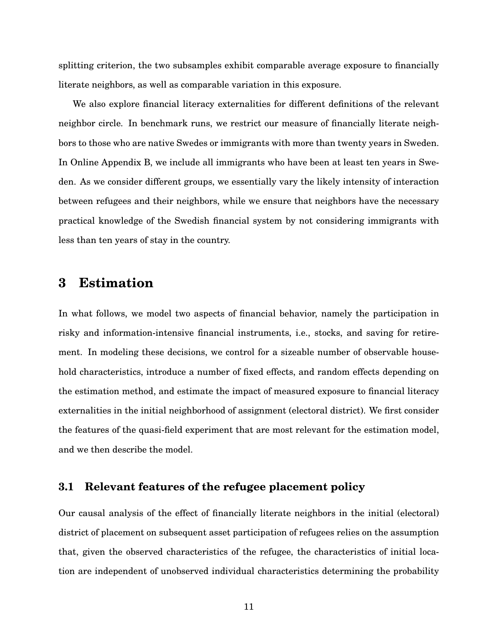splitting criterion, the two subsamples exhibit comparable average exposure to financially literate neighbors, as well as comparable variation in this exposure.

We also explore financial literacy externalities for different definitions of the relevant neighbor circle. In benchmark runs, we restrict our measure of financially literate neighbors to those who are native Swedes or immigrants with more than twenty years in Sweden. In Online Appendix B, we include all immigrants who have been at least ten years in Sweden. As we consider different groups, we essentially vary the likely intensity of interaction between refugees and their neighbors, while we ensure that neighbors have the necessary practical knowledge of the Swedish financial system by not considering immigrants with less than ten years of stay in the country.

### **3 Estimation**

In what follows, we model two aspects of financial behavior, namely the participation in risky and information-intensive financial instruments, i.e., stocks, and saving for retirement. In modeling these decisions, we control for a sizeable number of observable household characteristics, introduce a number of fixed effects, and random effects depending on the estimation method, and estimate the impact of measured exposure to financial literacy externalities in the initial neighborhood of assignment (electoral district). We first consider the features of the quasi-field experiment that are most relevant for the estimation model, and we then describe the model.

#### **3.1 Relevant features of the refugee placement policy**

Our causal analysis of the effect of financially literate neighbors in the initial (electoral) district of placement on subsequent asset participation of refugees relies on the assumption that, given the observed characteristics of the refugee, the characteristics of initial location are independent of unobserved individual characteristics determining the probability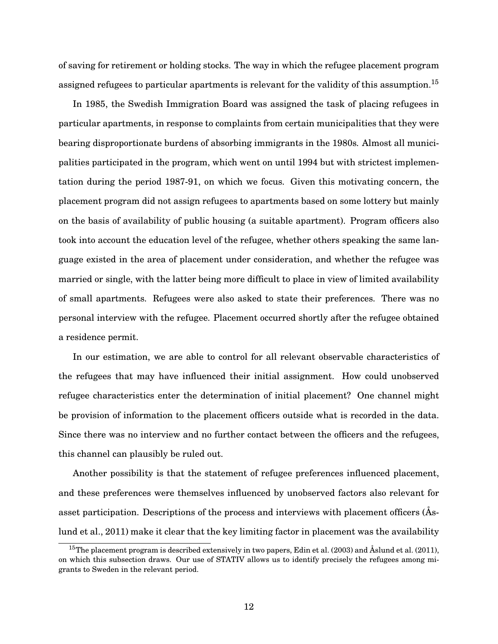of saving for retirement or holding stocks. The way in which the refugee placement program assigned refugees to particular apartments is relevant for the validity of this assumption.<sup>15</sup>

In 1985, the Swedish Immigration Board was assigned the task of placing refugees in particular apartments, in response to complaints from certain municipalities that they were bearing disproportionate burdens of absorbing immigrants in the 1980s. Almost all municipalities participated in the program, which went on until 1994 but with strictest implementation during the period 1987-91, on which we focus. Given this motivating concern, the placement program did not assign refugees to apartments based on some lottery but mainly on the basis of availability of public housing (a suitable apartment). Program officers also took into account the education level of the refugee, whether others speaking the same language existed in the area of placement under consideration, and whether the refugee was married or single, with the latter being more difficult to place in view of limited availability of small apartments. Refugees were also asked to state their preferences. There was no personal interview with the refugee. Placement occurred shortly after the refugee obtained a residence permit.

In our estimation, we are able to control for all relevant observable characteristics of the refugees that may have influenced their initial assignment. How could unobserved refugee characteristics enter the determination of initial placement? One channel might be provision of information to the placement officers outside what is recorded in the data. Since there was no interview and no further contact between the officers and the refugees, this channel can plausibly be ruled out.

Another possibility is that the statement of refugee preferences influenced placement, and these preferences were themselves influenced by unobserved factors also relevant for asset participation. Descriptions of the process and interviews with placement officers (Åslund et al., 2011) make it clear that the key limiting factor in placement was the availability

<sup>&</sup>lt;sup>15</sup>The placement program is described extensively in two papers, Edin et al. (2003) and Åslund et al. (2011), on which this subsection draws. Our use of STATIV allows us to identify precisely the refugees among migrants to Sweden in the relevant period.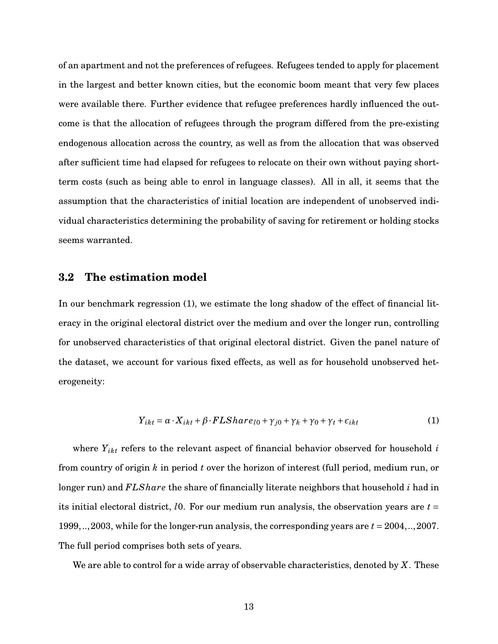of an apartment and not the preferences of refugees. Refugees tended to apply for placement in the largest and better known cities, but the economic boom meant that very few places were available there. Further evidence that refugee preferences hardly influenced the outcome is that the allocation of refugees through the program differed from the pre-existing endogenous allocation across the country, as well as from the allocation that was observed after sufficient time had elapsed for refugees to relocate on their own without paying shortterm costs (such as being able to enrol in language classes). All in all, it seems that the assumption that the characteristics of initial location are independent of unobserved individual characteristics determining the probability of saving for retirement or holding stocks seems warranted.

#### **3.2 The estimation model**

In our benchmark regression (1), we estimate the long shadow of the effect of financial literacy in the original electoral district over the medium and over the longer run, controlling for unobserved characteristics of that original electoral district. Given the panel nature of the dataset, we account for various fixed effects, as well as for household unobserved heterogeneity:

$$
Y_{ikt} = \alpha \cdot X_{ikt} + \beta \cdot FLShare_{l0} + \gamma_{j0} + \gamma_k + \gamma_0 + \gamma_t + \epsilon_{ikt}
$$
 (1)

where *Yikt* refers to the relevant aspect of financial behavior observed for household *i* from country of origin *k* in period *t* over the horizon of interest (full period, medium run, or longer run) and *FLShare* the share of financially literate neighbors that household *i* had in its initial electoral district, *l*0. For our medium run analysis, the observation years are *t* = 1999,..,2003, while for the longer-run analysis, the corresponding years are *t* = 2004,..,2007. The full period comprises both sets of years.

We are able to control for a wide array of observable characteristics, denoted by *X*. These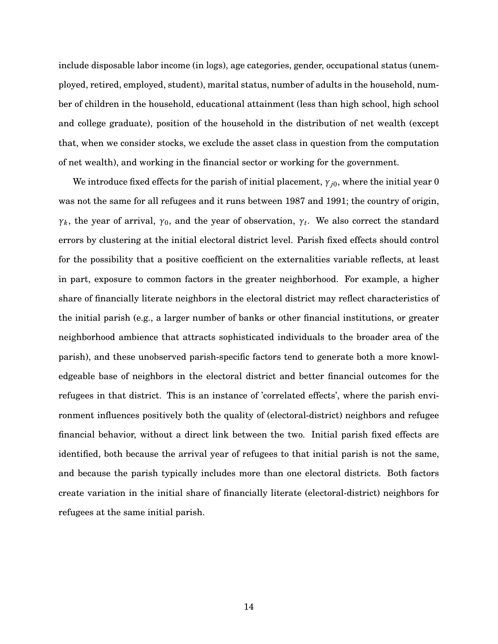include disposable labor income (in logs), age categories, gender, occupational status (unemployed, retired, employed, student), marital status, number of adults in the household, number of children in the household, educational attainment (less than high school, high school and college graduate), position of the household in the distribution of net wealth (except that, when we consider stocks, we exclude the asset class in question from the computation of net wealth), and working in the financial sector or working for the government.

We introduce fixed effects for the parish of initial placement, *γj*0, where the initial year 0 was not the same for all refugees and it runs between 1987 and 1991; the country of origin, *γ*<sub>*k*</sub>, the year of arrival, *γ*<sub>0</sub>, and the year of observation, *γt*. We also correct the standard errors by clustering at the initial electoral district level. Parish fixed effects should control for the possibility that a positive coefficient on the externalities variable reflects, at least in part, exposure to common factors in the greater neighborhood. For example, a higher share of financially literate neighbors in the electoral district may reflect characteristics of the initial parish (e.g., a larger number of banks or other financial institutions, or greater neighborhood ambience that attracts sophisticated individuals to the broader area of the parish), and these unobserved parish-specific factors tend to generate both a more knowledgeable base of neighbors in the electoral district and better financial outcomes for the refugees in that district. This is an instance of 'correlated effects', where the parish environment influences positively both the quality of (electoral-district) neighbors and refugee financial behavior, without a direct link between the two. Initial parish fixed effects are identified, both because the arrival year of refugees to that initial parish is not the same, and because the parish typically includes more than one electoral districts. Both factors create variation in the initial share of financially literate (electoral-district) neighbors for refugees at the same initial parish.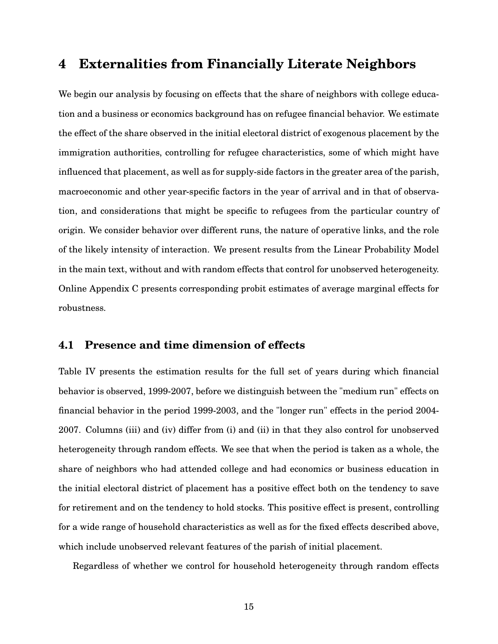### **4 Externalities from Financially Literate Neighbors**

We begin our analysis by focusing on effects that the share of neighbors with college education and a business or economics background has on refugee financial behavior. We estimate the effect of the share observed in the initial electoral district of exogenous placement by the immigration authorities, controlling for refugee characteristics, some of which might have influenced that placement, as well as for supply-side factors in the greater area of the parish, macroeconomic and other year-specific factors in the year of arrival and in that of observation, and considerations that might be specific to refugees from the particular country of origin. We consider behavior over different runs, the nature of operative links, and the role of the likely intensity of interaction. We present results from the Linear Probability Model in the main text, without and with random effects that control for unobserved heterogeneity. Online Appendix C presents corresponding probit estimates of average marginal effects for robustness.

#### **4.1 Presence and time dimension of effects**

Table IV presents the estimation results for the full set of years during which financial behavior is observed, 1999-2007, before we distinguish between the "medium run" effects on financial behavior in the period 1999-2003, and the "longer run" effects in the period 2004- 2007. Columns (iii) and (iv) differ from (i) and (ii) in that they also control for unobserved heterogeneity through random effects. We see that when the period is taken as a whole, the share of neighbors who had attended college and had economics or business education in the initial electoral district of placement has a positive effect both on the tendency to save for retirement and on the tendency to hold stocks. This positive effect is present, controlling for a wide range of household characteristics as well as for the fixed effects described above, which include unobserved relevant features of the parish of initial placement.

Regardless of whether we control for household heterogeneity through random effects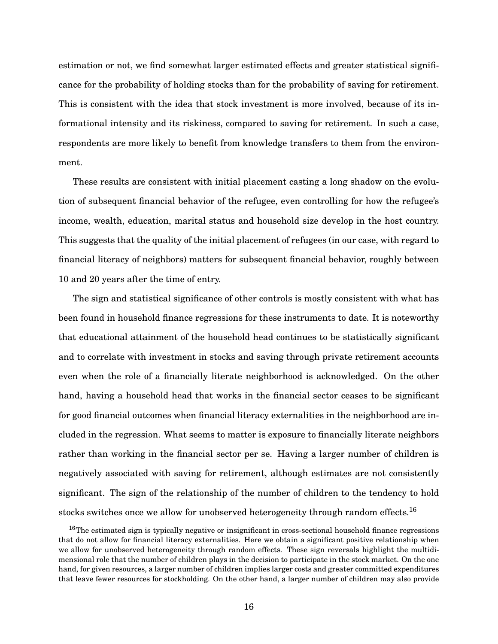estimation or not, we find somewhat larger estimated effects and greater statistical significance for the probability of holding stocks than for the probability of saving for retirement. This is consistent with the idea that stock investment is more involved, because of its informational intensity and its riskiness, compared to saving for retirement. In such a case, respondents are more likely to benefit from knowledge transfers to them from the environment.

These results are consistent with initial placement casting a long shadow on the evolution of subsequent financial behavior of the refugee, even controlling for how the refugee's income, wealth, education, marital status and household size develop in the host country. This suggests that the quality of the initial placement of refugees (in our case, with regard to financial literacy of neighbors) matters for subsequent financial behavior, roughly between 10 and 20 years after the time of entry.

The sign and statistical significance of other controls is mostly consistent with what has been found in household finance regressions for these instruments to date. It is noteworthy that educational attainment of the household head continues to be statistically significant and to correlate with investment in stocks and saving through private retirement accounts even when the role of a financially literate neighborhood is acknowledged. On the other hand, having a household head that works in the financial sector ceases to be significant for good financial outcomes when financial literacy externalities in the neighborhood are included in the regression. What seems to matter is exposure to financially literate neighbors rather than working in the financial sector per se. Having a larger number of children is negatively associated with saving for retirement, although estimates are not consistently significant. The sign of the relationship of the number of children to the tendency to hold stocks switches once we allow for unobserved heterogeneity through random effects.<sup>16</sup>

<sup>&</sup>lt;sup>16</sup>The estimated sign is typically negative or insignificant in cross-sectional household finance regressions that do not allow for financial literacy externalities. Here we obtain a significant positive relationship when we allow for unobserved heterogeneity through random effects. These sign reversals highlight the multidimensional role that the number of children plays in the decision to participate in the stock market. On the one hand, for given resources, a larger number of children implies larger costs and greater committed expenditures that leave fewer resources for stockholding. On the other hand, a larger number of children may also provide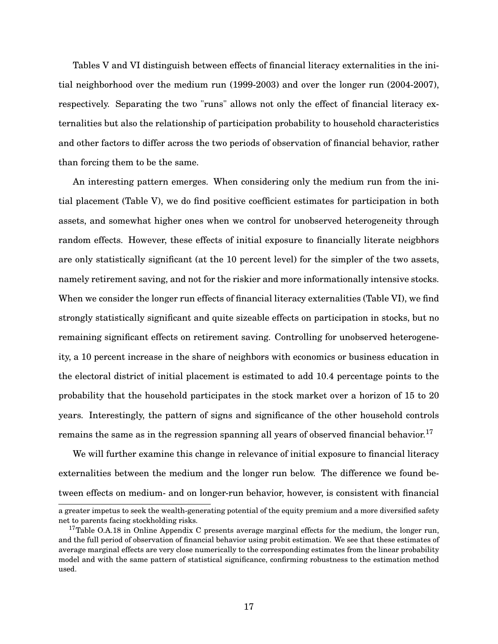Tables V and VI distinguish between effects of financial literacy externalities in the initial neighborhood over the medium run (1999-2003) and over the longer run (2004-2007), respectively. Separating the two "runs" allows not only the effect of financial literacy externalities but also the relationship of participation probability to household characteristics and other factors to differ across the two periods of observation of financial behavior, rather than forcing them to be the same.

An interesting pattern emerges. When considering only the medium run from the initial placement (Table V), we do find positive coefficient estimates for participation in both assets, and somewhat higher ones when we control for unobserved heterogeneity through random effects. However, these effects of initial exposure to financially literate neigbhors are only statistically significant (at the 10 percent level) for the simpler of the two assets, namely retirement saving, and not for the riskier and more informationally intensive stocks. When we consider the longer run effects of financial literacy externalities (Table VI), we find strongly statistically significant and quite sizeable effects on participation in stocks, but no remaining significant effects on retirement saving. Controlling for unobserved heterogeneity, a 10 percent increase in the share of neighbors with economics or business education in the electoral district of initial placement is estimated to add 10.4 percentage points to the probability that the household participates in the stock market over a horizon of 15 to 20 years. Interestingly, the pattern of signs and significance of the other household controls remains the same as in the regression spanning all years of observed financial behavior.<sup>17</sup>

We will further examine this change in relevance of initial exposure to financial literacy externalities between the medium and the longer run below. The difference we found between effects on medium- and on longer-run behavior, however, is consistent with financial

a greater impetus to seek the wealth-generating potential of the equity premium and a more diversified safety net to parents facing stockholding risks.

 $17$ Table O.A.18 in Online Appendix C presents average marginal effects for the medium, the longer run, and the full period of observation of financial behavior using probit estimation. We see that these estimates of average marginal effects are very close numerically to the corresponding estimates from the linear probability model and with the same pattern of statistical significance, confirming robustness to the estimation method used.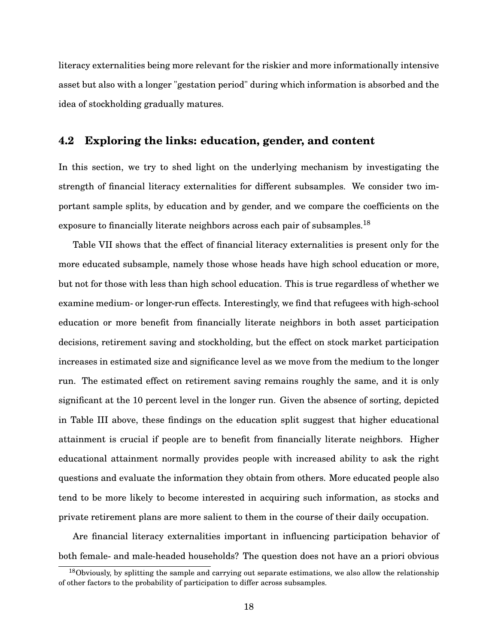literacy externalities being more relevant for the riskier and more informationally intensive asset but also with a longer "gestation period" during which information is absorbed and the idea of stockholding gradually matures.

### **4.2 Exploring the links: education, gender, and content**

In this section, we try to shed light on the underlying mechanism by investigating the strength of financial literacy externalities for different subsamples. We consider two important sample splits, by education and by gender, and we compare the coefficients on the exposure to financially literate neighbors across each pair of subsamples.<sup>18</sup>

Table VII shows that the effect of financial literacy externalities is present only for the more educated subsample, namely those whose heads have high school education or more, but not for those with less than high school education. This is true regardless of whether we examine medium- or longer-run effects. Interestingly, we find that refugees with high-school education or more benefit from financially literate neighbors in both asset participation decisions, retirement saving and stockholding, but the effect on stock market participation increases in estimated size and significance level as we move from the medium to the longer run. The estimated effect on retirement saving remains roughly the same, and it is only significant at the 10 percent level in the longer run. Given the absence of sorting, depicted in Table III above, these findings on the education split suggest that higher educational attainment is crucial if people are to benefit from financially literate neighbors. Higher educational attainment normally provides people with increased ability to ask the right questions and evaluate the information they obtain from others. More educated people also tend to be more likely to become interested in acquiring such information, as stocks and private retirement plans are more salient to them in the course of their daily occupation.

Are financial literacy externalities important in influencing participation behavior of both female- and male-headed households? The question does not have an a priori obvious

 $18$ Obviously, by splitting the sample and carrying out separate estimations, we also allow the relationship of other factors to the probability of participation to differ across subsamples.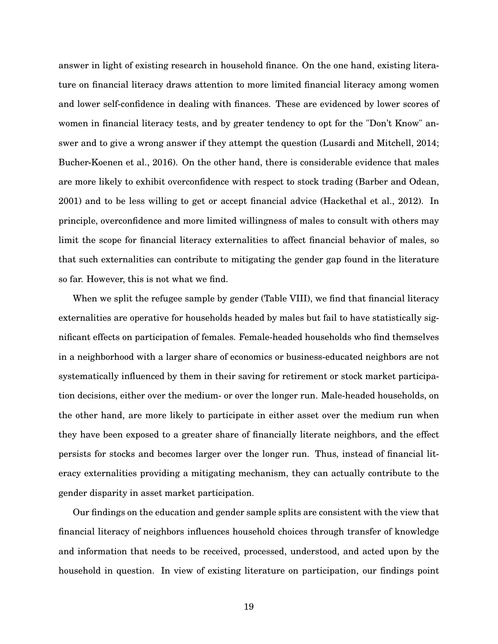answer in light of existing research in household finance. On the one hand, existing literature on financial literacy draws attention to more limited financial literacy among women and lower self-confidence in dealing with finances. These are evidenced by lower scores of women in financial literacy tests, and by greater tendency to opt for the "Don't Know" answer and to give a wrong answer if they attempt the question (Lusardi and Mitchell, 2014; Bucher-Koenen et al., 2016). On the other hand, there is considerable evidence that males are more likely to exhibit overconfidence with respect to stock trading (Barber and Odean, 2001) and to be less willing to get or accept financial advice (Hackethal et al., 2012). In principle, overconfidence and more limited willingness of males to consult with others may limit the scope for financial literacy externalities to affect financial behavior of males, so that such externalities can contribute to mitigating the gender gap found in the literature so far. However, this is not what we find.

When we split the refugee sample by gender (Table VIII), we find that financial literacy externalities are operative for households headed by males but fail to have statistically significant effects on participation of females. Female-headed households who find themselves in a neighborhood with a larger share of economics or business-educated neighbors are not systematically influenced by them in their saving for retirement or stock market participation decisions, either over the medium- or over the longer run. Male-headed households, on the other hand, are more likely to participate in either asset over the medium run when they have been exposed to a greater share of financially literate neighbors, and the effect persists for stocks and becomes larger over the longer run. Thus, instead of financial literacy externalities providing a mitigating mechanism, they can actually contribute to the gender disparity in asset market participation.

Our findings on the education and gender sample splits are consistent with the view that financial literacy of neighbors influences household choices through transfer of knowledge and information that needs to be received, processed, understood, and acted upon by the household in question. In view of existing literature on participation, our findings point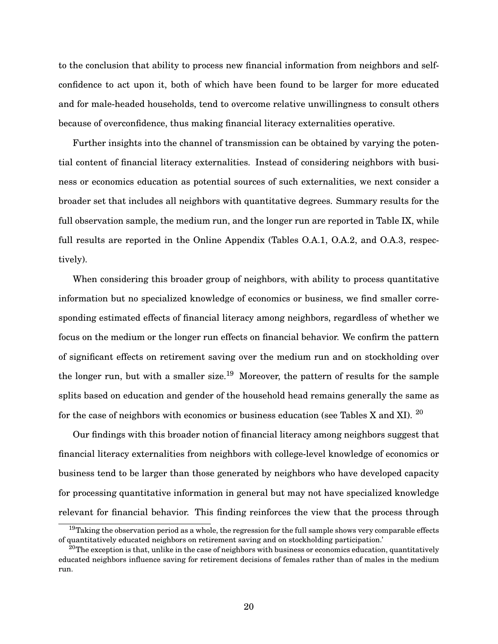to the conclusion that ability to process new financial information from neighbors and selfconfidence to act upon it, both of which have been found to be larger for more educated and for male-headed households, tend to overcome relative unwillingness to consult others because of overconfidence, thus making financial literacy externalities operative.

Further insights into the channel of transmission can be obtained by varying the potential content of financial literacy externalities. Instead of considering neighbors with business or economics education as potential sources of such externalities, we next consider a broader set that includes all neighbors with quantitative degrees. Summary results for the full observation sample, the medium run, and the longer run are reported in Table IX, while full results are reported in the Online Appendix (Tables O.A.1, O.A.2, and O.A.3, respectively).

When considering this broader group of neighbors, with ability to process quantitative information but no specialized knowledge of economics or business, we find smaller corresponding estimated effects of financial literacy among neighbors, regardless of whether we focus on the medium or the longer run effects on financial behavior. We confirm the pattern of significant effects on retirement saving over the medium run and on stockholding over the longer run, but with a smaller size.<sup>19</sup> Moreover, the pattern of results for the sample splits based on education and gender of the household head remains generally the same as for the case of neighbors with economics or business education (see Tables X and XI).  $^{20}$ 

Our findings with this broader notion of financial literacy among neighbors suggest that financial literacy externalities from neighbors with college-level knowledge of economics or business tend to be larger than those generated by neighbors who have developed capacity for processing quantitative information in general but may not have specialized knowledge relevant for financial behavior. This finding reinforces the view that the process through

 $19$ Taking the observation period as a whole, the regression for the full sample shows very comparable effects of quantitatively educated neighbors on retirement saving and on stockholding participation.'

 $^{20}$ The exception is that, unlike in the case of neighbors with business or economics education, quantitatively educated neighbors influence saving for retirement decisions of females rather than of males in the medium run.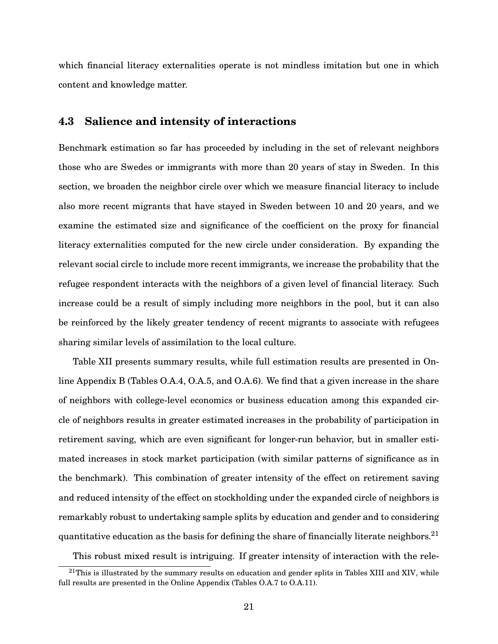which financial literacy externalities operate is not mindless imitation but one in which content and knowledge matter.

#### **4.3 Salience and intensity of interactions**

Benchmark estimation so far has proceeded by including in the set of relevant neighbors those who are Swedes or immigrants with more than 20 years of stay in Sweden. In this section, we broaden the neighbor circle over which we measure financial literacy to include also more recent migrants that have stayed in Sweden between 10 and 20 years, and we examine the estimated size and significance of the coefficient on the proxy for financial literacy externalities computed for the new circle under consideration. By expanding the relevant social circle to include more recent immigrants, we increase the probability that the refugee respondent interacts with the neighbors of a given level of financial literacy. Such increase could be a result of simply including more neighbors in the pool, but it can also be reinforced by the likely greater tendency of recent migrants to associate with refugees sharing similar levels of assimilation to the local culture.

Table XII presents summary results, while full estimation results are presented in Online Appendix B (Tables O.A.4, O.A.5, and O.A.6). We find that a given increase in the share of neighbors with college-level economics or business education among this expanded circle of neighbors results in greater estimated increases in the probability of participation in retirement saving, which are even significant for longer-run behavior, but in smaller estimated increases in stock market participation (with similar patterns of significance as in the benchmark). This combination of greater intensity of the effect on retirement saving and reduced intensity of the effect on stockholding under the expanded circle of neighbors is remarkably robust to undertaking sample splits by education and gender and to considering quantitative education as the basis for defining the share of financially literate neighbors.<sup>21</sup>

This robust mixed result is intriguing. If greater intensity of interaction with the rele-

 $^{21}$ This is illustrated by the summary results on education and gender splits in Tables XIII and XIV, while full results are presented in the Online Appendix (Tables O.A.7 to O.A.11).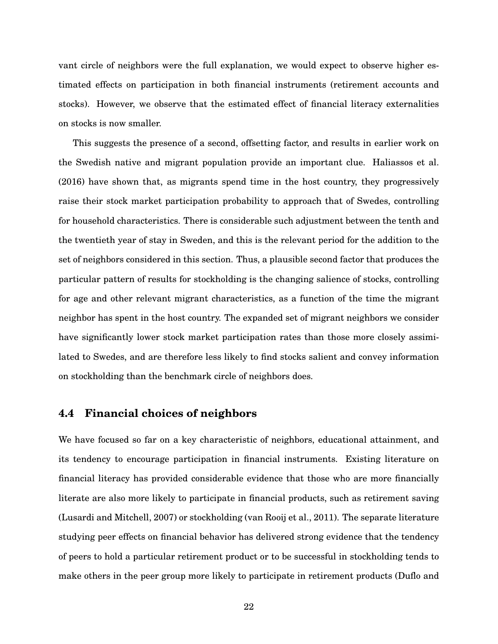vant circle of neighbors were the full explanation, we would expect to observe higher estimated effects on participation in both financial instruments (retirement accounts and stocks). However, we observe that the estimated effect of financial literacy externalities on stocks is now smaller.

This suggests the presence of a second, offsetting factor, and results in earlier work on the Swedish native and migrant population provide an important clue. Haliassos et al. (2016) have shown that, as migrants spend time in the host country, they progressively raise their stock market participation probability to approach that of Swedes, controlling for household characteristics. There is considerable such adjustment between the tenth and the twentieth year of stay in Sweden, and this is the relevant period for the addition to the set of neighbors considered in this section. Thus, a plausible second factor that produces the particular pattern of results for stockholding is the changing salience of stocks, controlling for age and other relevant migrant characteristics, as a function of the time the migrant neighbor has spent in the host country. The expanded set of migrant neighbors we consider have significantly lower stock market participation rates than those more closely assimilated to Swedes, and are therefore less likely to find stocks salient and convey information on stockholding than the benchmark circle of neighbors does.

#### **4.4 Financial choices of neighbors**

We have focused so far on a key characteristic of neighbors, educational attainment, and its tendency to encourage participation in financial instruments. Existing literature on financial literacy has provided considerable evidence that those who are more financially literate are also more likely to participate in financial products, such as retirement saving (Lusardi and Mitchell, 2007) or stockholding (van Rooij et al., 2011). The separate literature studying peer effects on financial behavior has delivered strong evidence that the tendency of peers to hold a particular retirement product or to be successful in stockholding tends to make others in the peer group more likely to participate in retirement products (Duflo and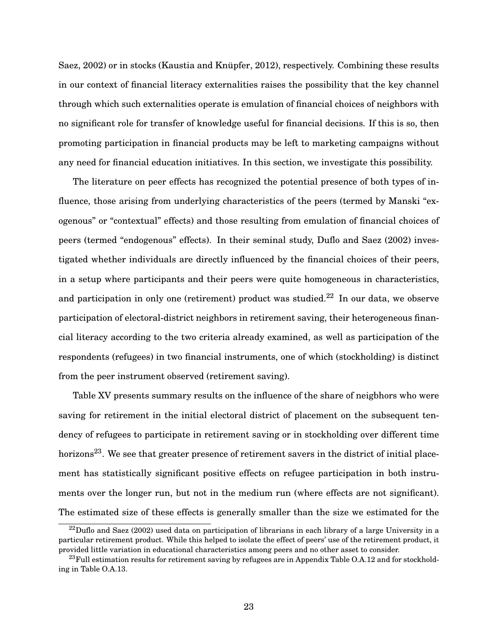Saez, 2002) or in stocks (Kaustia and Knüpfer, 2012), respectively. Combining these results in our context of financial literacy externalities raises the possibility that the key channel through which such externalities operate is emulation of financial choices of neighbors with no significant role for transfer of knowledge useful for financial decisions. If this is so, then promoting participation in financial products may be left to marketing campaigns without any need for financial education initiatives. In this section, we investigate this possibility.

The literature on peer effects has recognized the potential presence of both types of influence, those arising from underlying characteristics of the peers (termed by Manski "exogenous" or "contextual" effects) and those resulting from emulation of financial choices of peers (termed "endogenous" effects). In their seminal study, Duflo and Saez (2002) investigated whether individuals are directly influenced by the financial choices of their peers, in a setup where participants and their peers were quite homogeneous in characteristics, and participation in only one (retirement) product was studied.<sup>22</sup> In our data, we observe participation of electoral-district neighbors in retirement saving, their heterogeneous financial literacy according to the two criteria already examined, as well as participation of the respondents (refugees) in two financial instruments, one of which (stockholding) is distinct from the peer instrument observed (retirement saving).

Table XV presents summary results on the influence of the share of neigbhors who were saving for retirement in the initial electoral district of placement on the subsequent tendency of refugees to participate in retirement saving or in stockholding over different time horizons<sup>23</sup>. We see that greater presence of retirement savers in the district of initial placement has statistically significant positive effects on refugee participation in both instruments over the longer run, but not in the medium run (where effects are not significant). The estimated size of these effects is generally smaller than the size we estimated for the

 $^{22}$ Duflo and Saez (2002) used data on participation of librarians in each library of a large University in a particular retirement product. While this helped to isolate the effect of peers' use of the retirement product, it provided little variation in educational characteristics among peers and no other asset to consider.

 $^{23}$ Full estimation results for retirement saving by refugees are in Appendix Table O.A.12 and for stockholding in Table O.A.13.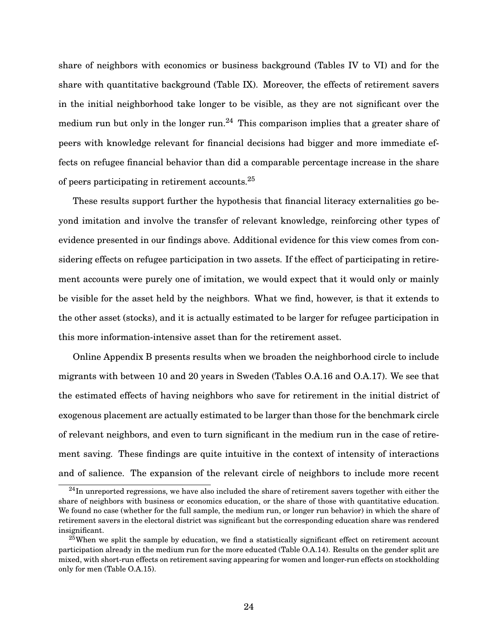share of neighbors with economics or business background (Tables IV to VI) and for the share with quantitative background (Table IX). Moreover, the effects of retirement savers in the initial neighborhood take longer to be visible, as they are not significant over the medium run but only in the longer run.<sup>24</sup> This comparison implies that a greater share of peers with knowledge relevant for financial decisions had bigger and more immediate effects on refugee financial behavior than did a comparable percentage increase in the share of peers participating in retirement accounts.<sup>25</sup>

These results support further the hypothesis that financial literacy externalities go beyond imitation and involve the transfer of relevant knowledge, reinforcing other types of evidence presented in our findings above. Additional evidence for this view comes from considering effects on refugee participation in two assets. If the effect of participating in retirement accounts were purely one of imitation, we would expect that it would only or mainly be visible for the asset held by the neighbors. What we find, however, is that it extends to the other asset (stocks), and it is actually estimated to be larger for refugee participation in this more information-intensive asset than for the retirement asset.

Online Appendix B presents results when we broaden the neighborhood circle to include migrants with between 10 and 20 years in Sweden (Tables O.A.16 and O.A.17). We see that the estimated effects of having neighbors who save for retirement in the initial district of exogenous placement are actually estimated to be larger than those for the benchmark circle of relevant neighbors, and even to turn significant in the medium run in the case of retirement saving. These findings are quite intuitive in the context of intensity of interactions and of salience. The expansion of the relevant circle of neighbors to include more recent

 $^{24}$ In unreported regressions, we have also included the share of retirement savers together with either the share of neighbors with business or economics education, or the share of those with quantitative education. We found no case (whether for the full sample, the medium run, or longer run behavior) in which the share of retirement savers in the electoral district was significant but the corresponding education share was rendered insignificant.

 $25$ When we split the sample by education, we find a statistically significant effect on retirement account participation already in the medium run for the more educated (Table O.A.14). Results on the gender split are mixed, with short-run effects on retirement saving appearing for women and longer-run effects on stockholding only for men (Table O.A.15).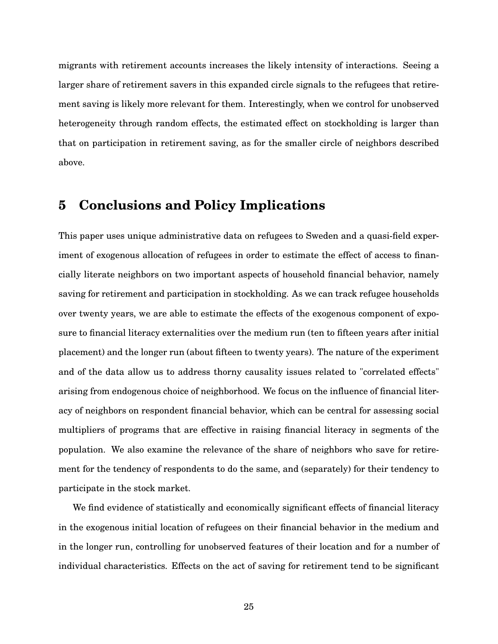migrants with retirement accounts increases the likely intensity of interactions. Seeing a larger share of retirement savers in this expanded circle signals to the refugees that retirement saving is likely more relevant for them. Interestingly, when we control for unobserved heterogeneity through random effects, the estimated effect on stockholding is larger than that on participation in retirement saving, as for the smaller circle of neighbors described above.

### **5 Conclusions and Policy Implications**

This paper uses unique administrative data on refugees to Sweden and a quasi-field experiment of exogenous allocation of refugees in order to estimate the effect of access to financially literate neighbors on two important aspects of household financial behavior, namely saving for retirement and participation in stockholding. As we can track refugee households over twenty years, we are able to estimate the effects of the exogenous component of exposure to financial literacy externalities over the medium run (ten to fifteen years after initial placement) and the longer run (about fifteen to twenty years). The nature of the experiment and of the data allow us to address thorny causality issues related to "correlated effects" arising from endogenous choice of neighborhood. We focus on the influence of financial literacy of neighbors on respondent financial behavior, which can be central for assessing social multipliers of programs that are effective in raising financial literacy in segments of the population. We also examine the relevance of the share of neighbors who save for retirement for the tendency of respondents to do the same, and (separately) for their tendency to participate in the stock market.

We find evidence of statistically and economically significant effects of financial literacy in the exogenous initial location of refugees on their financial behavior in the medium and in the longer run, controlling for unobserved features of their location and for a number of individual characteristics. Effects on the act of saving for retirement tend to be significant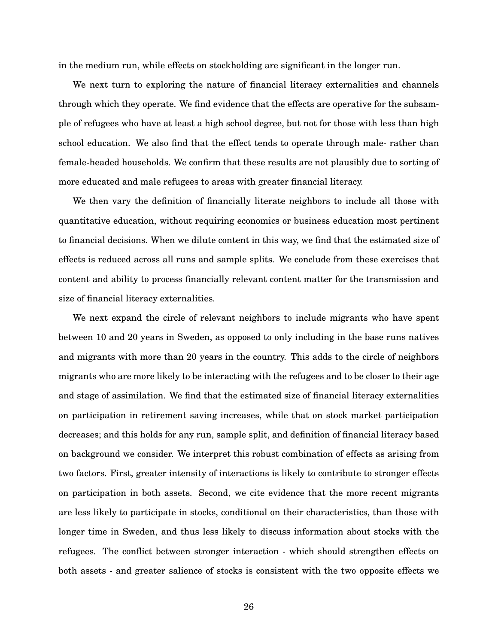in the medium run, while effects on stockholding are significant in the longer run.

We next turn to exploring the nature of financial literacy externalities and channels through which they operate. We find evidence that the effects are operative for the subsample of refugees who have at least a high school degree, but not for those with less than high school education. We also find that the effect tends to operate through male- rather than female-headed households. We confirm that these results are not plausibly due to sorting of more educated and male refugees to areas with greater financial literacy.

We then vary the definition of financially literate neighbors to include all those with quantitative education, without requiring economics or business education most pertinent to financial decisions. When we dilute content in this way, we find that the estimated size of effects is reduced across all runs and sample splits. We conclude from these exercises that content and ability to process financially relevant content matter for the transmission and size of financial literacy externalities.

We next expand the circle of relevant neighbors to include migrants who have spent between 10 and 20 years in Sweden, as opposed to only including in the base runs natives and migrants with more than 20 years in the country. This adds to the circle of neighbors migrants who are more likely to be interacting with the refugees and to be closer to their age and stage of assimilation. We find that the estimated size of financial literacy externalities on participation in retirement saving increases, while that on stock market participation decreases; and this holds for any run, sample split, and definition of financial literacy based on background we consider. We interpret this robust combination of effects as arising from two factors. First, greater intensity of interactions is likely to contribute to stronger effects on participation in both assets. Second, we cite evidence that the more recent migrants are less likely to participate in stocks, conditional on their characteristics, than those with longer time in Sweden, and thus less likely to discuss information about stocks with the refugees. The conflict between stronger interaction - which should strengthen effects on both assets - and greater salience of stocks is consistent with the two opposite effects we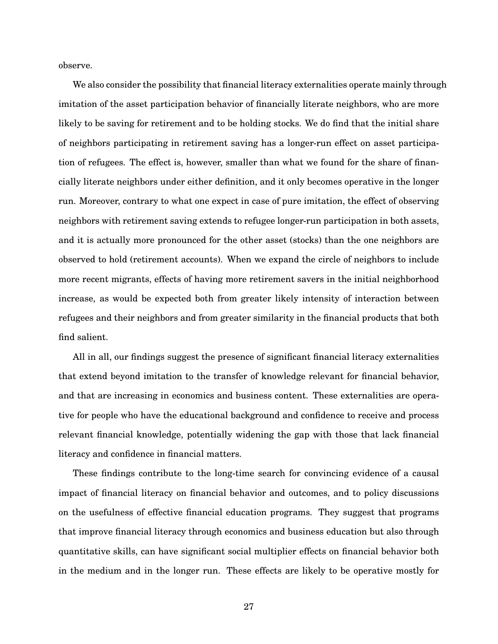observe.

We also consider the possibility that financial literacy externalities operate mainly through imitation of the asset participation behavior of financially literate neighbors, who are more likely to be saving for retirement and to be holding stocks. We do find that the initial share of neighbors participating in retirement saving has a longer-run effect on asset participation of refugees. The effect is, however, smaller than what we found for the share of financially literate neighbors under either definition, and it only becomes operative in the longer run. Moreover, contrary to what one expect in case of pure imitation, the effect of observing neighbors with retirement saving extends to refugee longer-run participation in both assets, and it is actually more pronounced for the other asset (stocks) than the one neighbors are observed to hold (retirement accounts). When we expand the circle of neighbors to include more recent migrants, effects of having more retirement savers in the initial neighborhood increase, as would be expected both from greater likely intensity of interaction between refugees and their neighbors and from greater similarity in the financial products that both find salient.

All in all, our findings suggest the presence of significant financial literacy externalities that extend beyond imitation to the transfer of knowledge relevant for financial behavior, and that are increasing in economics and business content. These externalities are operative for people who have the educational background and confidence to receive and process relevant financial knowledge, potentially widening the gap with those that lack financial literacy and confidence in financial matters.

These findings contribute to the long-time search for convincing evidence of a causal impact of financial literacy on financial behavior and outcomes, and to policy discussions on the usefulness of effective financial education programs. They suggest that programs that improve financial literacy through economics and business education but also through quantitative skills, can have significant social multiplier effects on financial behavior both in the medium and in the longer run. These effects are likely to be operative mostly for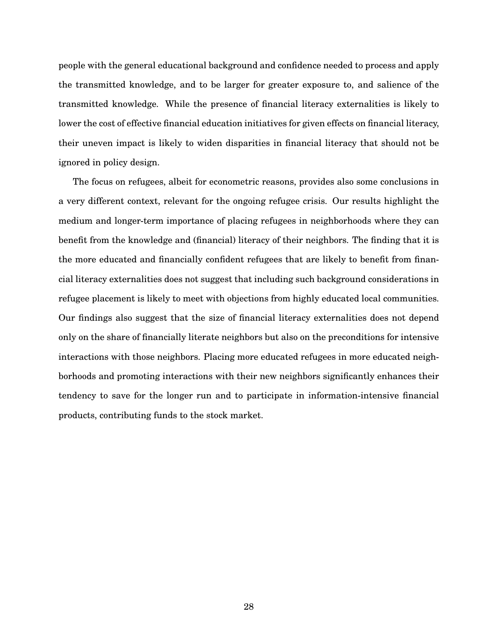people with the general educational background and confidence needed to process and apply the transmitted knowledge, and to be larger for greater exposure to, and salience of the transmitted knowledge. While the presence of financial literacy externalities is likely to lower the cost of effective financial education initiatives for given effects on financial literacy, their uneven impact is likely to widen disparities in financial literacy that should not be ignored in policy design.

The focus on refugees, albeit for econometric reasons, provides also some conclusions in a very different context, relevant for the ongoing refugee crisis. Our results highlight the medium and longer-term importance of placing refugees in neighborhoods where they can benefit from the knowledge and (financial) literacy of their neighbors. The finding that it is the more educated and financially confident refugees that are likely to benefit from financial literacy externalities does not suggest that including such background considerations in refugee placement is likely to meet with objections from highly educated local communities. Our findings also suggest that the size of financial literacy externalities does not depend only on the share of financially literate neighbors but also on the preconditions for intensive interactions with those neighbors. Placing more educated refugees in more educated neighborhoods and promoting interactions with their new neighbors significantly enhances their tendency to save for the longer run and to participate in information-intensive financial products, contributing funds to the stock market.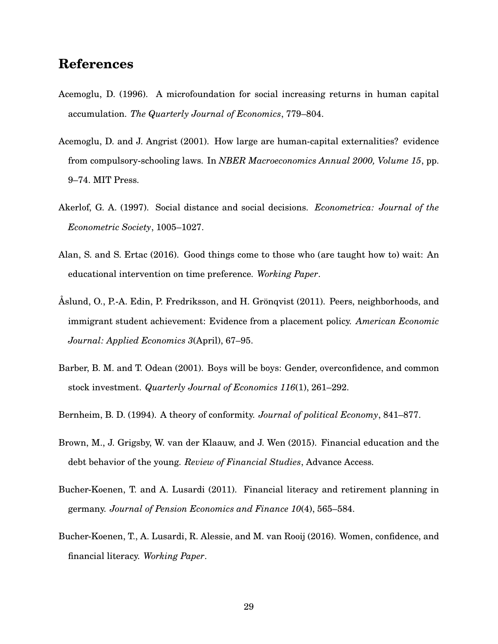## **References**

- Acemoglu, D. (1996). A microfoundation for social increasing returns in human capital accumulation. *The Quarterly Journal of Economics*, 779–804.
- Acemoglu, D. and J. Angrist (2001). How large are human-capital externalities? evidence from compulsory-schooling laws. In *NBER Macroeconomics Annual 2000, Volume 15*, pp. 9–74. MIT Press.
- Akerlof, G. A. (1997). Social distance and social decisions. *Econometrica: Journal of the Econometric Society*, 1005–1027.
- Alan, S. and S. Ertac (2016). Good things come to those who (are taught how to) wait: An educational intervention on time preference. *Working Paper*.
- Åslund, O., P.-A. Edin, P. Fredriksson, and H. Grönqvist (2011). Peers, neighborhoods, and immigrant student achievement: Evidence from a placement policy. *American Economic Journal: Applied Economics 3*(April), 67–95.
- Barber, B. M. and T. Odean (2001). Boys will be boys: Gender, overconfidence, and common stock investment. *Quarterly Journal of Economics 116*(1), 261–292.
- Bernheim, B. D. (1994). A theory of conformity. *Journal of political Economy*, 841–877.
- Brown, M., J. Grigsby, W. van der Klaauw, and J. Wen (2015). Financial education and the debt behavior of the young. *Review of Financial Studies*, Advance Access.
- Bucher-Koenen, T. and A. Lusardi (2011). Financial literacy and retirement planning in germany. *Journal of Pension Economics and Finance 10*(4), 565–584.
- Bucher-Koenen, T., A. Lusardi, R. Alessie, and M. van Rooij (2016). Women, confidence, and financial literacy. *Working Paper*.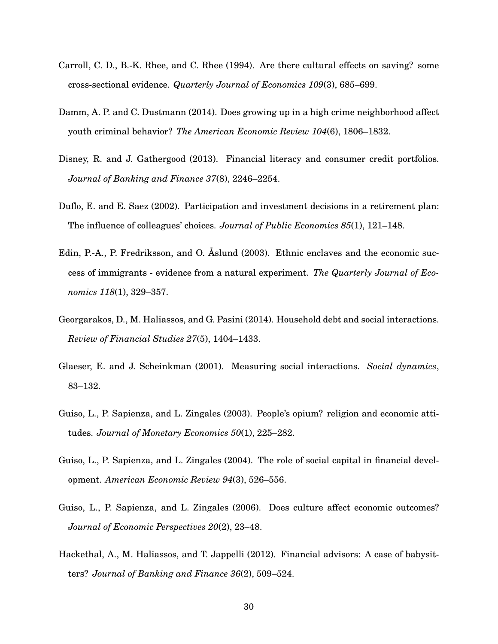- Carroll, C. D., B.-K. Rhee, and C. Rhee (1994). Are there cultural effects on saving? some cross-sectional evidence. *Quarterly Journal of Economics 109*(3), 685–699.
- Damm, A. P. and C. Dustmann (2014). Does growing up in a high crime neighborhood affect youth criminal behavior? *The American Economic Review 104*(6), 1806–1832.
- Disney, R. and J. Gathergood (2013). Financial literacy and consumer credit portfolios. *Journal of Banking and Finance 37*(8), 2246–2254.
- Duflo, E. and E. Saez (2002). Participation and investment decisions in a retirement plan: The influence of colleagues' choices. *Journal of Public Economics 85*(1), 121–148.
- Edin, P.-A., P. Fredriksson, and O. Åslund (2003). Ethnic enclaves and the economic success of immigrants - evidence from a natural experiment. *The Quarterly Journal of Economics 118*(1), 329–357.
- Georgarakos, D., M. Haliassos, and G. Pasini (2014). Household debt and social interactions. *Review of Financial Studies 27*(5), 1404–1433.
- Glaeser, E. and J. Scheinkman (2001). Measuring social interactions. *Social dynamics*, 83–132.
- Guiso, L., P. Sapienza, and L. Zingales (2003). People's opium? religion and economic attitudes. *Journal of Monetary Economics 50*(1), 225–282.
- Guiso, L., P. Sapienza, and L. Zingales (2004). The role of social capital in financial development. *American Economic Review 94*(3), 526–556.
- Guiso, L., P. Sapienza, and L. Zingales (2006). Does culture affect economic outcomes? *Journal of Economic Perspectives 20*(2), 23–48.
- Hackethal, A., M. Haliassos, and T. Jappelli (2012). Financial advisors: A case of babysitters? *Journal of Banking and Finance 36*(2), 509–524.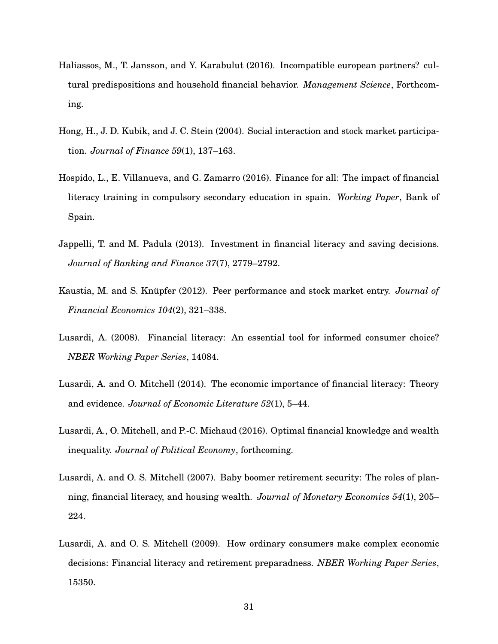- Haliassos, M., T. Jansson, and Y. Karabulut (2016). Incompatible european partners? cultural predispositions and household financial behavior. *Management Science*, Forthcoming.
- Hong, H., J. D. Kubik, and J. C. Stein (2004). Social interaction and stock market participation. *Journal of Finance 59*(1), 137–163.
- Hospido, L., E. Villanueva, and G. Zamarro (2016). Finance for all: The impact of financial literacy training in compulsory secondary education in spain. *Working Paper*, Bank of Spain.
- Jappelli, T. and M. Padula (2013). Investment in financial literacy and saving decisions. *Journal of Banking and Finance 37*(7), 2779–2792.
- Kaustia, M. and S. Knüpfer (2012). Peer performance and stock market entry. *Journal of Financial Economics 104*(2), 321–338.
- Lusardi, A. (2008). Financial literacy: An essential tool for informed consumer choice? *NBER Working Paper Series*, 14084.
- Lusardi, A. and O. Mitchell (2014). The economic importance of financial literacy: Theory and evidence. *Journal of Economic Literature 52*(1), 5–44.
- Lusardi, A., O. Mitchell, and P.-C. Michaud (2016). Optimal financial knowledge and wealth inequality. *Journal of Political Economy*, forthcoming.
- Lusardi, A. and O. S. Mitchell (2007). Baby boomer retirement security: The roles of planning, financial literacy, and housing wealth. *Journal of Monetary Economics 54*(1), 205– 224.
- Lusardi, A. and O. S. Mitchell (2009). How ordinary consumers make complex economic decisions: Financial literacy and retirement preparadness. *NBER Working Paper Series*, 15350.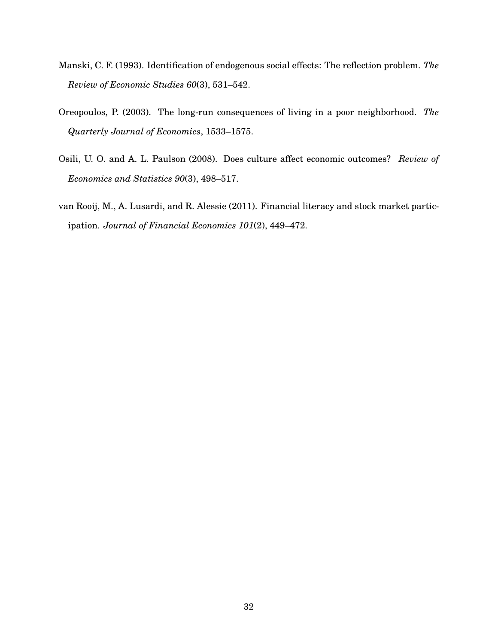- Manski, C. F. (1993). Identification of endogenous social effects: The reflection problem. *The Review of Economic Studies 60*(3), 531–542.
- Oreopoulos, P. (2003). The long-run consequences of living in a poor neighborhood. *The Quarterly Journal of Economics*, 1533–1575.
- Osili, U. O. and A. L. Paulson (2008). Does culture affect economic outcomes? *Review of Economics and Statistics 90*(3), 498–517.
- van Rooij, M., A. Lusardi, and R. Alessie (2011). Financial literacy and stock market participation. *Journal of Financial Economics 101*(2), 449–472.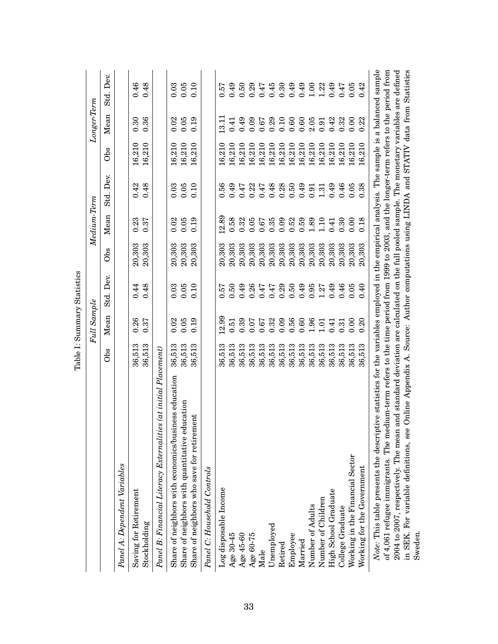|                                                                                                                                                                                                                                                                                          |        | Full Sample |              |                 | Medium-Term |              |        | Longer-Term |              |
|------------------------------------------------------------------------------------------------------------------------------------------------------------------------------------------------------------------------------------------------------------------------------------------|--------|-------------|--------------|-----------------|-------------|--------------|--------|-------------|--------------|
|                                                                                                                                                                                                                                                                                          | Obs    | Mean        | Dev.<br>Std. | O <sub>bs</sub> | Mean        | Dev.<br>Std. | Obs    | Mean        | Dev.<br>Std. |
| Panel A: Dependent Variables                                                                                                                                                                                                                                                             |        |             |              |                 |             |              |        |             |              |
| Saving for Retirement                                                                                                                                                                                                                                                                    | 36,513 | 0.26        | 0.44         | 20,303          | 0.23        | 0.42         | 16,210 | 0.30        | 0.46         |
| Stockholding                                                                                                                                                                                                                                                                             | 36,513 | 0.37        | 0.48         | 20,303          | 0.37        | 0.48         | 16,210 | 0.36        | 0.48         |
| Panel B: Financial Literacy Externalities (at initial Placement)                                                                                                                                                                                                                         |        |             |              |                 |             |              |        |             |              |
| Share of neighbors with economics/business education                                                                                                                                                                                                                                     | 36,513 | 0.02        | 0.03         | 20,303          | 0.02        | 0.03         | 16,210 | 0.02        | 0.03         |
| Share of neighbors with quantitative education                                                                                                                                                                                                                                           | 36,513 | 0.05        | 0.05         | 20,303          | 0.05        | 0.05         | 16,210 | 0.05        | $0.05\,$     |
| Share of neighbors who save for retirement                                                                                                                                                                                                                                               | 36,513 | 0.19        | 0.10         | 20,303          | 0.19        | 0.10         | 16,210 | 0.19        | 0.10         |
| Panel C: Household Controls                                                                                                                                                                                                                                                              |        |             |              |                 |             |              |        |             |              |
| Log disposable Income                                                                                                                                                                                                                                                                    | 36,513 | 12.99       | 0.57         | 20,303          | 12.89       | 0.56         | 16,210 | 13.11       | 0.57         |
| Age 30-45                                                                                                                                                                                                                                                                                | 36,513 | 0.51        | 0.50         | 20,303          | 0.58        | 0.49         | 16,210 | 0.41        | 0.49         |
| Age 45-60                                                                                                                                                                                                                                                                                | 36,513 | 0.39        | 0.49         | 20,303          | 0.32        | 747          | 16,210 | 0.49        | 0.50         |
| Age 60-75                                                                                                                                                                                                                                                                                | 36,513 | 0.07        | 0.26         | 20,303          | 0.05        | 0.22         | 16,210 | 0.09        | 0.29         |
| Male                                                                                                                                                                                                                                                                                     | 36,513 | 0.67        | 0.47         | 20,303          | 0.67        | 0.47         | 16,210 | 0.67        | 0.47         |
| Unemployed                                                                                                                                                                                                                                                                               | 36,513 | 0.32        | 0.47         | 20,303          | 0.35        | 0.48         | 16,210 | 0.29        | 0.45         |
| Retired                                                                                                                                                                                                                                                                                  | 36,513 | 0.09        | 0.29         | 20,303          | 0.09        | 0.28         | 16,210 | 0.10        | 0.30         |
| Employee                                                                                                                                                                                                                                                                                 | 36,513 | 0.56        | 0.50         | 20,303          | 0.52        | 0.50         | 16,210 | 0.60        | 0.49         |
| Married                                                                                                                                                                                                                                                                                  | 36,513 | 0.60        | 0.49         | 20,303          | 0.59        | 0.49         | 16,210 | 0.60        | 0.49         |
| Number of Adults                                                                                                                                                                                                                                                                         | 36,513 | 1.96        | 0.95         | 20,303          | 1.89        | 0.91         | 16,210 | 2.05        | $1.00$       |
| Number of Children                                                                                                                                                                                                                                                                       | 36,513 | 1.01        | 1.27         | 20,303          | 1.10        | 1.31         | 16,210 | 0.91        | $1.22\,$     |
| High School Graduate                                                                                                                                                                                                                                                                     | 36,513 | 0.41        | 0.49         | 20,303          | 0.41        | 0.49         | 16,210 | 0.42        | 0.49         |
| College Graduate                                                                                                                                                                                                                                                                         | 36,513 | 0.31        | 0.46         | 20,303          | 0.30        | 0.46         | 16,210 | 0.32        | 0.47         |
| Working in the Financial Sector                                                                                                                                                                                                                                                          | 36,513 | 0.00        | 0.05         | 20,303          | 0.00        | 0.05         | 16,210 | 0.00        | 0.05         |
| Working for the Government                                                                                                                                                                                                                                                               | 36,513 | 0.20        | 0.40         | 20,303          | 0.18        | 0.38         | 16,210 | 0.22        | 0.42         |
| ptive statistics for the variables employed in the empirical analysis. The sample is a balanced sample<br>Note: This table presents the descrip                                                                                                                                          |        |             |              |                 |             |              |        |             |              |
| $2004$ to $2007$ , respectively. The mean and standard deviation are calculated on the full pooled sample. The monetary variables are defined<br>of 4,061 refugee immigrants. The medium-term refers to the time period from 1999 to 2003, and the longer-term refers to the period from |        |             |              |                 |             |              |        |             |              |
| in SEK. For variable definitions, see Online Appendix A. Source: Author computations using LINDA and STATIV data from Statistics<br>Sweden.                                                                                                                                              |        |             |              |                 |             |              |        |             |              |
|                                                                                                                                                                                                                                                                                          |        |             |              |                 |             |              |        |             |              |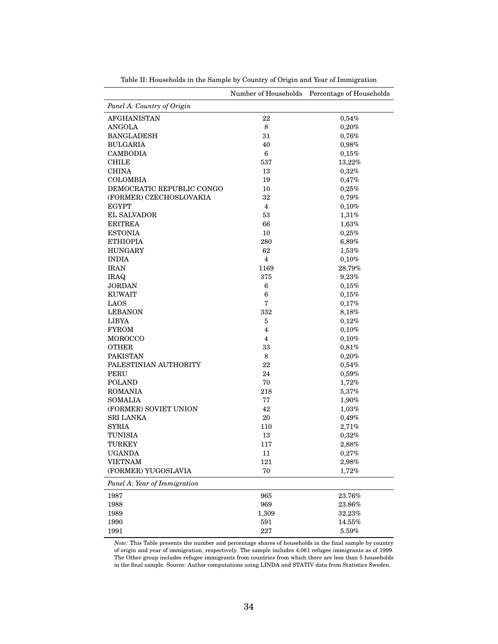|                              | Number of Households | Percentage of Households |
|------------------------------|----------------------|--------------------------|
| Panel A: Country of Origin   |                      |                          |
| <b>AFGHANISTAN</b>           | 22                   | 0,54%                    |
| <b>ANGOLA</b>                | 8                    | 0,20%                    |
| <b>BANGLADESH</b>            | 31                   | 0,76%                    |
| <b>BULGARIA</b>              | 40                   | 0,98%                    |
| <b>CAMBODIA</b>              | 6                    | 0,15%                    |
| <b>CHILE</b>                 | 537                  | 13,22%                   |
| <b>CHINA</b>                 | 13                   | 0,32%                    |
| COLOMBIA                     | 19                   | 0,47%                    |
| DEMOCRATIC REPUBLIC CONGO    | 10                   | 0,25%                    |
| (FORMER) CZECHOSLOVAKIA      | 32                   | 0,79%                    |
| <b>EGYPT</b>                 | 4                    | $0,10\%$                 |
| <b>EL SALVADOR</b>           | 53                   | 1,31%                    |
| <b>ERITREA</b>               | 66                   | 1,63%                    |
| <b>ESTONIA</b>               | 10                   | 0,25%                    |
| <b>ETHIOPIA</b>              | 280                  | 6,89%                    |
| <b>HUNGARY</b>               | 62                   | $1,53\%$                 |
| <b>INDIA</b>                 | $\overline{4}$       | $0,10\%$                 |
| <b>IRAN</b>                  | 1169                 | 28,79%                   |
| <b>IRAQ</b>                  | 375                  | 9,23%                    |
| <b>JORDAN</b>                | $6\phantom{1}6$      | 0,15%                    |
| <b>KUWAIT</b>                | 6                    | 0,15%                    |
| LAOS                         | 7                    | 0,17%                    |
| <b>LEBANON</b>               | 332                  | 8,18%                    |
| <b>LIBYA</b>                 | $\overline{5}$       | 0,12%                    |
| <b>FYROM</b>                 | 4                    | $0,10\%$                 |
| MOROCCO                      | 4                    | $0,10\%$                 |
| <b>OTHER</b>                 | 33                   | 0,81%                    |
| <b>PAKISTAN</b>              | 8                    | 0,20%                    |
| PALESTINIAN AUTHORITY        | 22                   | 0,54%                    |
| PERU                         | 24                   | 0,59%                    |
| <b>POLAND</b>                | 70                   | 1,72%                    |
| <b>ROMANIA</b>               | 218                  | 5,37%                    |
| SOMALIA                      | 77                   | 1,90%                    |
| (FORMER) SOVIET UNION        | 42                   | 1,03%                    |
| <b>SRI LANKA</b>             | 20                   | 0,49%                    |
| <b>SYRIA</b>                 | 110                  | 2,71%                    |
| TUNISIA                      | 13                   | 0,32%                    |
| TURKEY                       | 117                  | 2,88%                    |
| <b>UGANDA</b>                | 11                   | 0,27%                    |
| <b>VIETNAM</b>               | 121                  | 2,98%                    |
| (FORMER) YUGOSLAVIA          | 70                   | 1,72%                    |
| Panel A: Year of Immigration |                      |                          |
|                              |                      | 23.76%                   |
| 1987                         | 965                  |                          |
| 1988                         | 969                  | 23.86%                   |
| 1989                         | 1,309                | 32.23%                   |
| 1990                         | 591                  | 14.55%                   |
| 1991                         | $227\,$              | $5.59\%$                 |

Table II: Households in the Sample by Country of Origin and Year of Immigration

*Note:* This Table presents the number and percentage shares of households in the final sample by country of origin and year of immigration, respectively. The sample includes 4,061 refugee immigrants as of 1999. The Other group includes refugee immigrants from countries from which there are less than 5 households in the final sample. Source: Author computations using LINDA and STATIV data from Statistics Sweden.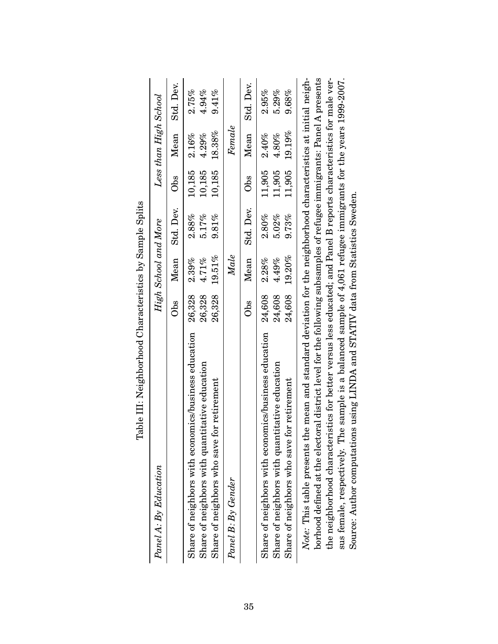| which are in the more control work of the control in the control of the control of the control of the control of the control of the control of the control of the control of the control of the control of the control of the            |        |                      |           |        |                       |           |
|------------------------------------------------------------------------------------------------------------------------------------------------------------------------------------------------------------------------------------------|--------|----------------------|-----------|--------|-----------------------|-----------|
| Panel A: By Education                                                                                                                                                                                                                    |        | High School and More |           |        | Less than High School |           |
|                                                                                                                                                                                                                                          | Obs    | Mean                 | Std. Dev. | Obs    | Mean                  | Std. Dev. |
| Share of neighbors with economics/business education                                                                                                                                                                                     | 26,328 | 2.39%                | $2.88\%$  | 10,185 | $2.16\%$              | $2.75\%$  |
| Share of neighbors with quantitative education                                                                                                                                                                                           | 26,328 | 4.71%                | 5.17%     | 10,185 | 4.29%                 | 4.94%     |
| Share of neighbors who save for retirement                                                                                                                                                                                               | 26,328 | 19.51%               | 9.81%     | 10,185 | 18.38%                | $9.41\%$  |
| Panel B: By Gender                                                                                                                                                                                                                       |        | $\mathit{Male}$      |           |        | Female                |           |
|                                                                                                                                                                                                                                          | Obs    | Mean                 | Std. Dev. | Obs    | Mean                  | Std. Dev. |
| Share of neighbors with economics/business education 24,608                                                                                                                                                                              |        | 2.28%                | $2.80\%$  | 11,905 | 2.40%                 | 2.95%     |
| Share of neighbors with quantitative education                                                                                                                                                                                           | 24,608 | 4.49%                | 5.02%     | 11.905 | $4.80\%$              | 5.29%     |
| Share of neighbors who save for retirement                                                                                                                                                                                               |        | 24,608 19.20%        | 9.73%     |        | 11,905 19.19%         | $9.68\%$  |
| Note: This table presents the mean and standard deviation for the neighborhood characteristics at initial neigh-<br>borhood defined at the electoral district level for the following subsamples of refugee immigrants: Panel A presents |        |                      |           |        |                       |           |
|                                                                                                                                                                                                                                          |        |                      |           |        |                       |           |

Table III: Neighborhood Characteristics by Sample Splits Table III: Neighborhood Characteristics by Sample Splits

sus female, respectively. The sample is a balanced sample of 4,061 refugee immigrants for the years 1999-2007. the neighborhood characteristics for better versus less educated; and Panel B reports characteristics for male verthe neighborhood characteristics for better versus less educated; and Panel B reports characteristics for male versus female, respectively. The sample is a balanced sample of 4,061 refugee immigrants for the years 1999-2007. Source: Author computations using LINDA and STATIV data from Statistics Sweden. Source: Author computations using LINDA and STATIV data from Statistics Sweden.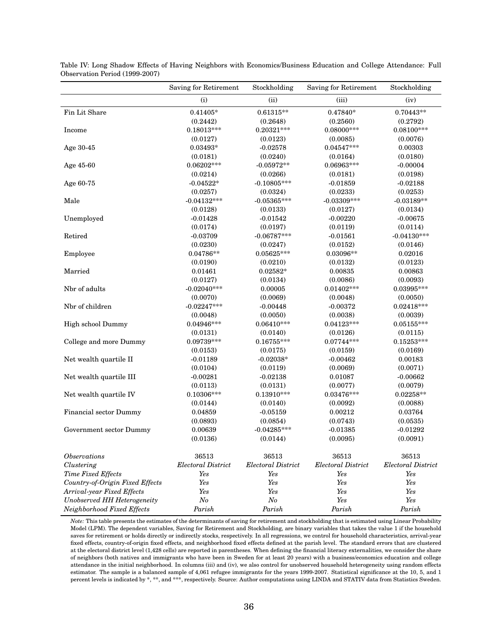|                                 | Saving for Retirement     | Stockholding              | Saving for Retirement | Stockholding              |
|---------------------------------|---------------------------|---------------------------|-----------------------|---------------------------|
|                                 | (i)                       | (ii)                      | (iii)                 | (iv)                      |
| Fin Lit Share                   | $0.41405*$                | $0.61315**$               | $0.47840*$            | $0.70443**$               |
|                                 | (0.2442)                  | (0.2648)                  | (0.2560)              | (0.2792)                  |
| Income                          | $0.18013***$              | $0.20321***$              | $0.08000***$          | $0.08100***$              |
|                                 | (0.0127)                  | (0.0123)                  | (0.0085)              | (0.0076)                  |
| Age 30-45                       | $0.03493*$                | $-0.02578$                | $0.04547***$          | 0.00303                   |
|                                 | (0.0181)                  | (0.0240)                  | (0.0164)              | (0.0180)                  |
| Age 45-60                       | $0.06202***$              | $-0.05972**$              | $0.06963***$          | $-0.00004$                |
|                                 | (0.0214)                  | (0.0266)                  | (0.0181)              | (0.0198)                  |
| Age 60-75                       | $-0.04522*$               | $-0.10805***$             | $-0.01859$            | $-0.02188$                |
|                                 | (0.0257)                  | (0.0324)                  | (0.0233)              | (0.0253)                  |
| Male                            | $-0.04132***$             | $-0.05365***$             | $-0.03309***$         | $-0.03189**$              |
|                                 | (0.0128)                  | (0.0133)                  | (0.0127)              | (0.0134)                  |
| Unemployed                      | $-0.01428$                | $-0.01542$                | $-0.00220$            | $-0.00675$                |
|                                 | (0.0174)                  | (0.0197)                  | (0.0119)              | (0.0114)                  |
| Retired                         | $-0.03709$                | $-0.06787***$             | $-0.01561$            | $-0.04130***$             |
|                                 | (0.0230)                  | (0.0247)                  | (0.0152)              | (0.0146)                  |
| Employee                        | 0.04786**                 | $0.05625***$              | 0.03096**             | 0.02016                   |
|                                 | (0.0190)                  | (0.0210)                  | (0.0132)              | (0.0123)                  |
| Married                         | 0.01461                   | $0.02582*$                | 0.00835               | 0.00863                   |
|                                 | (0.0127)                  | (0.0134)                  | (0.0086)              | (0.0093)                  |
| Nbr of adults                   | $-0.02040***$             | 0.00005                   | $0.01402***$          | $0.03995***$              |
|                                 | (0.0070)                  | (0.0069)                  | (0.0048)              | (0.0050)                  |
| Nbr of children                 | $-0.02247***$             | $-0.00448$                | $-0.00372$            | $0.02418***$              |
|                                 | (0.0048)                  | (0.0050)                  | (0.0038)              | (0.0039)                  |
| High school Dummy               | $0.04946***$              | $0.06410***$              | $0.04123***$          | $0.05155***$              |
|                                 | (0.0131)                  | (0.0140)                  | (0.0126)              | (0.0115)                  |
| College and more Dummy          | $0.09739***$              | $0.16755***$              | $0.07744***$          | $0.15253***$              |
|                                 | (0.0153)                  | (0.0175)                  | (0.0159)              | (0.0169)                  |
| Net wealth quartile II          | $-0.01189$                | $-0.02038*$               | $-0.00462$            | 0.00183                   |
|                                 | (0.0104)                  | (0.0119)                  | (0.0069)              | (0.0071)                  |
| Net wealth quartile III         | $-0.00281$                | $-0.02138$                | 0.01087               | $-0.00662$                |
|                                 | (0.0113)                  | (0.0131)                  | (0.0077)              | (0.0079)                  |
| Net wealth quartile IV          | $0.10306***$              | $0.13910***$              | $0.03476***$          | $0.02258**$               |
|                                 | (0.0144)                  | (0.0140)                  | (0.0092)              | (0.0088)                  |
| Financial sector Dummy          | 0.04859                   | $-0.05159$                | 0.00212               | 0.03764                   |
|                                 | (0.0893)                  | (0.0854)                  | (0.0743)              | (0.0535)                  |
| Government sector Dummy         | 0.00639                   | $-0.04285***$             | $-0.01385$            | $-0.01292$                |
|                                 | (0.0136)                  | (0.0144)                  | (0.0095)              | (0.0091)                  |
| <b>Observations</b>             | 36513                     | 36513                     | 36513                 | 36513                     |
| Clustering                      | <b>Electoral District</b> | <b>Electoral District</b> | Electoral District    | <b>Electoral District</b> |
| Time Fixed Effects              | Yes                       | Yes                       | Yes                   | Yes                       |
| Country-of-Origin Fixed Effects | Yes                       | Yes                       | Yes                   | Yes                       |
| Arrival-year Fixed Effects      | Yes                       | Yes                       | Yes                   | Yes                       |
| Unobserved HH Heterogeneity     | N o                       | $N_{O}$                   | Yes                   | Yes                       |
| Neighborhood Fixed Effects      | Parish                    | Parish                    | Parish                | Parish                    |

Table IV: Long Shadow Effects of Having Neighbors with Economics/Business Education and College Attendance: Full Observation Period (1999-2007)

*Note:* This table presents the estimates of the determinants of saving for retirement and stockholding that is estimated using Linear Probability Model (LPM). The dependent variables, Saving for Retirement and Stockholding, are binary variables that takes the value 1 if the household saves for retirement or holds directly or indirectly stocks, respectively. In all regressions, we control for household characteristics, arrival-year fixed effects, country-of-origin fixed effects, and neighborhood fixed effects defined at the parish level. The standard errors that are clustered at the electoral district level (1,428 cells) are reported in parentheses. When defining the financial literacy externalities, we consider the share of neighbors (both natives and immigrants who have been in Sweden for at least 20 years) with a business/economics education and college attendance in the initial neighborhood. In columns (iii) and (iv), we also control for unobserved household heterogeneity using random effects estimator. The sample is a balanced sample of 4,061 refugee immigrants for the years 1999-2007. Statistical significance at the 10, 5, and 1 percent levels is indicated by \*, \*\*, and \*\*\*, respectively. Source: Author computations using LINDA and STATIV data from Statistics Sweden.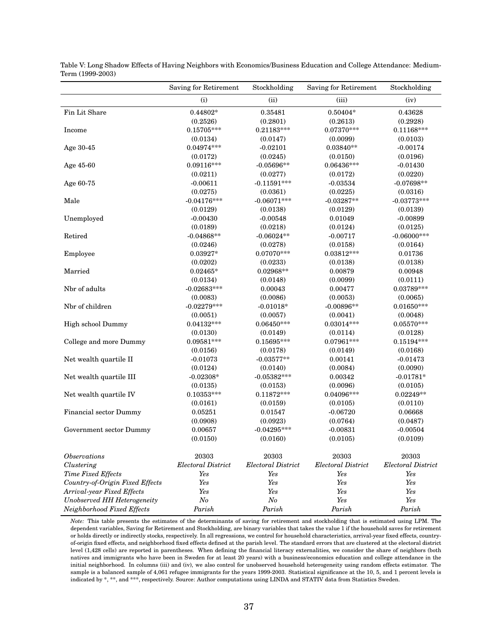|                                 | Saving for Retirement     | Stockholding              | Saving for Retirement     | Stockholding              |
|---------------------------------|---------------------------|---------------------------|---------------------------|---------------------------|
|                                 | (i)                       | (ii)                      | (iii)                     | (iv)                      |
| Fin Lit Share                   | 0.44802*                  | 0.35481                   | $0.50404*$                | 0.43628                   |
|                                 | (0.2526)                  | (0.2801)                  | (0.2613)                  | (0.2928)                  |
| Income                          | $0.15705***$              | $0.21183***$              | $0.07370***$              | $0.11168***$              |
|                                 | (0.0134)                  | (0.0147)                  | (0.0099)                  | (0.0103)                  |
| Age 30-45                       | $0.04974***$              | $-0.02101$                | $0.03840**$               | $-0.00174$                |
|                                 | (0.0172)                  | (0.0245)                  | (0.0150)                  | (0.0196)                  |
| Age 45-60                       | $0.09116***$              | $-0.05696**$              | $0.06436***$              | $-0.01430$                |
|                                 | (0.0211)                  | (0.0277)                  | (0.0172)                  | (0.0220)                  |
| Age 60-75                       | $-0.00611$                | $-0.11591***$             | $-0.03534$                | $-0.07698**$              |
|                                 | (0.0275)                  | (0.0361)                  | (0.0225)                  | (0.0316)                  |
| Male                            | $-0.04176***$             | $-0.06071***$             | $-0.03287**$              | $-0.03773***$             |
|                                 | (0.0129)                  | (0.0138)                  | (0.0129)                  | (0.0139)                  |
| Unemployed                      | $-0.00430$                | $-0.00548$                | 0.01049                   | $-0.00899$                |
|                                 | (0.0189)                  | (0.0218)                  | (0.0124)                  | (0.0125)                  |
| Retired                         | $-0.04868**$              | $-0.06024**$              | $-0.00717$                | $-0.06000***$             |
|                                 | (0.0246)                  | (0.0278)                  | (0.0158)                  | (0.0164)                  |
| Employee                        | $0.03927*$                | $0.07070***$              | $0.03812***$              | 0.01736                   |
|                                 | (0.0202)                  | (0.0233)                  | (0.0138)                  | (0.0138)                  |
| Married                         | $0.02465*$                | 0.02968**                 | 0.00879                   | 0.00948                   |
|                                 | (0.0134)                  | (0.0148)                  | (0.0099)                  | (0.0111)                  |
| Nbr of adults                   | $-0.02683***$             | 0.00043                   | 0.00477                   | $0.03789***$              |
|                                 | (0.0083)                  | (0.0086)                  | (0.0053)                  | (0.0065)                  |
| Nbr of children                 | $-0.02279***$             | $-0.01018*$               | $-0.00896**$              | $0.01650***$              |
|                                 | (0.0051)                  | (0.0057)                  | (0.0041)                  | (0.0048)                  |
| High school Dummy               | $0.04132***$              | $0.06450***$              | $0.03014***$              | $0.05570***$              |
|                                 | (0.0130)                  | (0.0149)                  | (0.0114)                  | (0.0128)                  |
| College and more Dummy          | $0.09581***$              | $0.15695***$              | 0.07961***                | $0.15194***$              |
|                                 | (0.0156)                  | (0.0178)                  | (0.0149)                  | (0.0168)                  |
| Net wealth quartile II          | $-0.01073$                | $-0.03577**$              | 0.00141                   | $-0.01473$                |
|                                 | (0.0124)                  | (0.0140)                  | (0.0084)                  | (0.0090)                  |
| Net wealth quartile III         | $-0.02308*$               | $-0.05382***$             | 0.00342                   | $-0.01781*$               |
|                                 | (0.0135)                  | (0.0153)                  | (0.0096)                  | (0.0105)                  |
| Net wealth quartile IV          | $0.10353***$              | $0.11872***$              | 0.04096***                | $0.02249**$               |
|                                 | (0.0161)                  | (0.0159)                  | (0.0105)                  | (0.0110)                  |
| Financial sector Dummy          | 0.05251                   | 0.01547                   | $-0.06720$                | 0.06668                   |
|                                 | (0.0908)                  | (0.0923)                  | (0.0764)                  | (0.0487)                  |
| Government sector Dummy         | 0.00657                   | $-0.04295***$             | $-0.00831$                | $-0.00504$                |
|                                 | (0.0150)                  | (0.0160)                  | (0.0105)                  | (0.0109)                  |
| <b>Observations</b>             | 20303                     | 20303                     | 20303                     | 20303                     |
| Clustering                      | <b>Electoral District</b> | <b>Electoral District</b> | <b>Electoral District</b> | <b>Electoral District</b> |
| Time Fixed Effects              | Yes                       | Yes                       | Yes                       | Yes                       |
| Country-of-Origin Fixed Effects | Yes                       | Yes                       | Yes                       | Yes                       |
| Arrival-year Fixed Effects      | Yes                       | Yes                       | Yes                       | Yes                       |
| Unobserved HH Heterogeneity     | N o                       | N o                       | Yes                       | Yes                       |
| Neighborhood Fixed Effects      | Parish                    | Parish                    | Parish                    | Parish                    |

Table V: Long Shadow Effects of Having Neighbors with Economics/Business Education and College Attendance: Medium-Term (1999-2003)

*Note:* This table presents the estimates of the determinants of saving for retirement and stockholding that is estimated using LPM. The dependent variables, Saving for Retirement and Stockholding, are binary variables that takes the value 1 if the household saves for retirement or holds directly or indirectly stocks, respectively. In all regressions, we control for household characteristics, arrival-year fixed effects, countryof-origin fixed effects, and neighborhood fixed effects defined at the parish level. The standard errors that are clustered at the electoral district level (1,428 cells) are reported in parentheses. When defining the financial literacy externalities, we consider the share of neighbors (both natives and immigrants who have been in Sweden for at least 20 years) with a business/economics education and college attendance in the initial neighborhood. In columns (iii) and (iv), we also control for unobserved household heterogeneity using random effects estimator. The sample is a balanced sample of 4,061 refugee immigrants for the years 1999-2003. Statistical significance at the 10, 5, and 1 percent levels is indicated by \*, \*\*, and \*\*\*, respectively. Source: Author computations using LINDA and STATIV data from Statistics Sweden.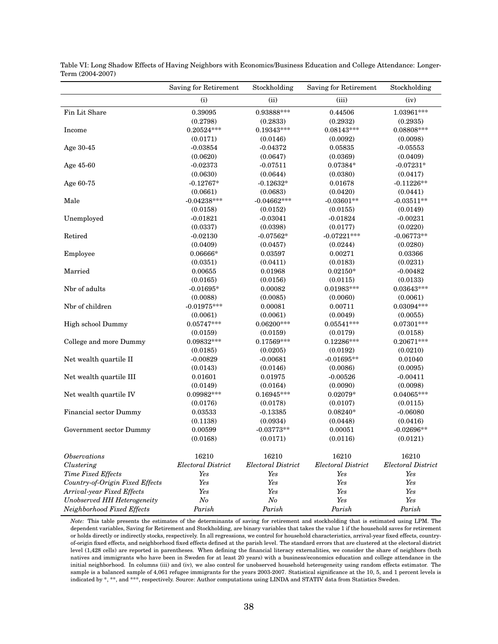|                                 | Saving for Retirement     | Stockholding       | Saving for Retirement | Stockholding       |
|---------------------------------|---------------------------|--------------------|-----------------------|--------------------|
|                                 | (i)                       | (ii)               | (iii)                 | (iv)               |
| Fin Lit Share                   | 0.39095                   | 0.93888***         | 0.44506               | 1.03961***         |
|                                 | (0.2798)                  | (0.2833)           | (0.2932)              | (0.2935)           |
| Income                          | $0.20524***$              | $0.19343***$       | $0.08143***$          | $0.08808***$       |
|                                 | (0.0171)                  | (0.0146)           | (0.0092)              | (0.0098)           |
| Age 30-45                       | $-0.03854$                | $-0.04372$         | 0.05835               | $-0.05553$         |
|                                 | (0.0620)                  | (0.0647)           | (0.0369)              | (0.0409)           |
| Age 45-60                       | $-0.02373$                | $-0.07511$         | $0.07384*$            | $-0.07231*$        |
|                                 | (0.0630)                  | (0.0644)           | (0.0380)              | (0.0417)           |
| Age 60-75                       | $-0.12767*$               | $-0.12632*$        | 0.01678               | $-0.11226**$       |
|                                 | (0.0661)                  | (0.0683)           | (0.0420)              | (0.0441)           |
| Male                            | $-0.04238***$             | $-0.04662***$      | $-0.03601**$          | $-0.03511**$       |
|                                 | (0.0158)                  | (0.0152)           | (0.0155)              | (0.0149)           |
| Unemployed                      | $-0.01821$                | $-0.03041$         | $-0.01824$            | $-0.00231$         |
|                                 | (0.0337)                  | (0.0398)           | (0.0177)              | (0.0220)           |
| Retired                         | $-0.02130$                | $-0.07562*$        | $-0.07221***$         | $-0.06773**$       |
|                                 | (0.0409)                  | (0.0457)           | (0.0244)              | (0.0280)           |
| Employee                        | $0.06666*$                | 0.03597            | 0.00271               | 0.03366            |
|                                 | (0.0351)                  | (0.0411)           | (0.0183)              | (0.0231)           |
| Married                         | 0.00655                   | 0.01968            | $0.02150*$            | $-0.00482$         |
|                                 | (0.0165)                  | (0.0156)           | (0.0115)              | (0.0133)           |
| Nbr of adults                   | $-0.01695*$               | 0.00082            | $0.01983***$          | $0.03643***$       |
|                                 | (0.0088)                  | (0.0085)           | (0.0060)              | (0.0061)           |
| Nbr of children                 | $-0.01975***$             | 0.00081            | 0.00711               | $0.03094***$       |
|                                 | (0.0061)                  | (0.0061)           | (0.0049)              | (0.0055)           |
| High school Dummy               | $0.05747***$              | $0.06200***$       | $0.05541***$          | $0.07301***$       |
|                                 | (0.0159)                  | (0.0159)           | (0.0179)              | (0.0158)           |
| College and more Dummy          | 0.09832***                | 0.17569***         | $0.12286***$          | $0.20671***$       |
|                                 | (0.0185)                  | (0.0205)           | (0.0192)              | (0.0210)           |
| Net wealth quartile II          | $-0.00829$                | $-0.00681$         | $-0.01695**$          | 0.01040            |
|                                 | (0.0143)                  | (0.0146)           | (0.0086)              | (0.0095)           |
| Net wealth quartile III         | 0.01601                   | 0.01975            | $-0.00526$            | $-0.00411$         |
|                                 | (0.0149)                  | (0.0164)           | (0.0090)              | (0.0098)           |
| Net wealth quartile IV          | $0.09982***$              | $0.16945***$       | $0.02079*$            | $0.04065***$       |
|                                 | (0.0176)                  | (0.0178)           | (0.0107)              | (0.0115)           |
| Financial sector Dummy          | 0.03533                   | $-0.13385$         | $0.08240*$            | $-0.06080$         |
|                                 | (0.1138)                  | (0.0934)           | (0.0448)              | (0.0416)           |
| Government sector Dummy         | 0.00599                   | $-0.03773**$       | 0.00051               | $-0.02696**$       |
|                                 | (0.0168)                  | (0.0171)           | (0.0116)              | (0.0121)           |
| <i><b>Observations</b></i>      | 16210                     | 16210              | 16210                 | 16210              |
| Clustering                      | <b>Electoral District</b> | Electoral District | Electoral District    | Electoral District |
| Time Fixed Effects              | Yes                       | Yes                | Yes                   | Yes                |
| Country-of-Origin Fixed Effects | Yes                       | Yes                | Yes                   | Yes                |
| Arrival-year Fixed Effects      | Yes                       | Yes                | Yes                   | Yes                |
| Unobserved HH Heterogeneity     | N o                       | N o                | Yes                   | Yes                |
| Neighborhood Fixed Effects      | Parish                    | Parish             | Parish                | Parish             |

Table VI: Long Shadow Effects of Having Neighbors with Economics/Business Education and College Attendance: Longer-Term (2004-2007)

*Note:* This table presents the estimates of the determinants of saving for retirement and stockholding that is estimated using LPM. The dependent variables, Saving for Retirement and Stockholding, are binary variables that takes the value 1 if the household saves for retirement or holds directly or indirectly stocks, respectively. In all regressions, we control for household characteristics, arrival-year fixed effects, countryof-origin fixed effects, and neighborhood fixed effects defined at the parish level. The standard errors that are clustered at the electoral district level (1,428 cells) are reported in parentheses. When defining the financial literacy externalities, we consider the share of neighbors (both natives and immigrants who have been in Sweden for at least 20 years) with a business/economics education and college attendance in the initial neighborhood. In columns (iii) and (iv), we also control for unobserved household heterogeneity using random effects estimator. The sample is a balanced sample of 4,061 refugee immigrants for the years 2003-2007. Statistical significance at the 10, 5, and 1 percent levels is indicated by \*, \*\*, and \*\*\*, respectively. Source: Author computations using LINDA and STATIV data from Statistics Sweden.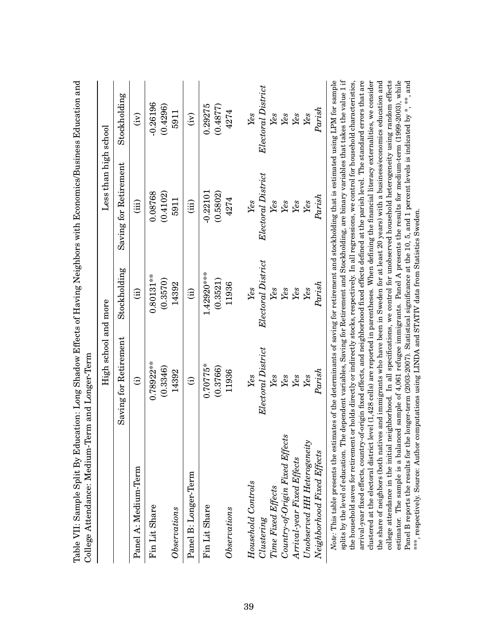|                                                                                                                                                                                  | High school and more                                                                                           |                         | Less than high school |                        |
|----------------------------------------------------------------------------------------------------------------------------------------------------------------------------------|----------------------------------------------------------------------------------------------------------------|-------------------------|-----------------------|------------------------|
|                                                                                                                                                                                  | Saving for Retirement                                                                                          | Stockholding            | Saving for Retirement | Stockholding           |
| Panel A: Medium-Term                                                                                                                                                             | $\widehat{\Xi}$                                                                                                | $\widehat{H}$           | (iii)                 | $\widetilde{E}$        |
| Fin Lit Share                                                                                                                                                                    | $0.78922***$<br>(0.3346)                                                                                       | $0.80131**$<br>(0.3570) | (0.4102)<br>0.08768   | $-0.26196$<br>(0.4296) |
| $\label{thm:invariant} Observations$                                                                                                                                             | 14392                                                                                                          | 14392                   | 5911                  | 5911                   |
| Panel B: Longer-Term                                                                                                                                                             | $\widehat{\Xi}$                                                                                                | $\widehat{\Xi}$         | (iii)                 | $\widehat{E}$          |
| Fin Lit Share                                                                                                                                                                    | $0.70775*$                                                                                                     | 1.42920***              | $-0.22101$            | 0.29275                |
|                                                                                                                                                                                  | (0.3766)                                                                                                       | (0.3521)                | (0.5802)              | (0.4877)               |
| Observations                                                                                                                                                                     | 11936                                                                                                          | 11936                   | 4274                  | 4274                   |
| Household Controls                                                                                                                                                               | Yes                                                                                                            | Yes                     | $\mathit{Yes}$        | Yes                    |
| Clustering                                                                                                                                                                       | Electoral District                                                                                             | Electoral District      | Electoral District    | Electoral District     |
| Time Fixed Effects                                                                                                                                                               | Yes                                                                                                            | Yes                     | Yes                   | Yes                    |
| Country-of-Origin Fixed Effects                                                                                                                                                  | Yes                                                                                                            | Yes                     | $\gamma_{es}$         | Yes                    |
| Arrival-year Fixed Effects                                                                                                                                                       | Yes                                                                                                            | Yes                     | Yes                   | Yes                    |
| Unobserved HH Heterogeneity                                                                                                                                                      | Yes                                                                                                            | $\it Yes$               | $\mathit{Yes}$        | Yes                    |
| Neighborhood Fixed Effects                                                                                                                                                       | ${\it Paris} h$                                                                                                | Parish                  | Parish                | Parish                 |
| Note: This table presents the estimates of the determinants of saving for retirement and stockholding that is estimated using LPM for sample<br>splits by the level of education | The dependent variables. Saving for Retirement and Stockholding are binary variables that takes the value 1 if |                         |                       |                        |

Table VII: Sample Split By Education: Long Shadow Effects of Having Neighbors with Economics/Business Education and Table VII: Sample Split By Education: Long Shadow Effects of Having Neighbors with Economics/Business Education and

clustered at the electoral district level (1,428 cells) are reported in parentheses. When defining the financial literacy externalities, we consider<br>the share of neighbors (both natives and immigrants who have been in Swed  $splits$  by the level of education. The dependent variables, Saving for Retirement and Stockholding, are binary variables that takes the value 1 if arrival-year fixed effects, country-of-origin fixed effects, and neighborhood fixed effects defined at the parish level. The standard errors that are college attendance in the initial neighborhood. In all specifications, we control for unobserved household heterogeneity using random effects estimator. The sample is a balanced sample of 4,061 refugee immigrants. Panel A presents the results for medium-term (1999-2003), while the household saves for retirement or holds directly or indirectly stocks, respectively. In all regressions, we control for household characteristics, Panel B reports the results for the longer-term (2003-2007). Statistical significance at the 10, 5, and 1 percent levels is indicated by \*, \*\*, and the household saves for retirement or holds directly or indirectly stocks, respectively. In all regressions, we control for household characteristics, arrival-year fixed effects, country-of-origin fixed effects, and neighborhood fixed effects defined at the parish level. The standard errors that are clustered at the electoral district level (1,428 cells) are reported in parentheses. When defining the financial literacy externalities, we consider the share of neighbors (both natives and immigrants who have been in Sweden for at least 20 years) with a business/economics education and college attendance in the initial neighborhood. In all specifications, we control for unobserved household heterogeneity using random effects estimator. The sample is a balanced sample of 4,061 refugee immigrants. Panel A presents the results for medium-term (1999-2003), while Panel B reports the results for the longer-term (2003-2007). Statistical significance at the 10, 5, and 1 percent levels is indicated by \*, \*\*, and линат у \*\*\*, respectively. Source: Author computations using LINDA and STATIV data from Statistics Sweden. \*\*\*, respectively. Source: Author computations using LINDA and STATIV data from Statistics Sweden. â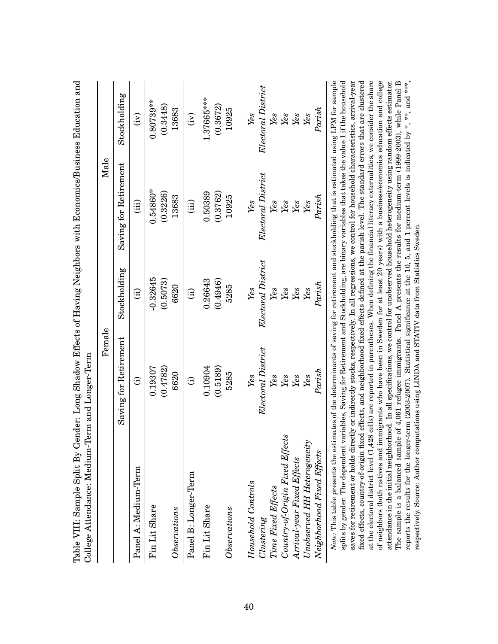| Saving for Retirement<br>Electoral District<br>(0.5189)<br>(0.4782)<br>0.10904<br>0.19307<br>5285<br>6620<br>$\it Yes$<br>Yes<br>$\widehat{\Xi}$<br>$\widehat{\Xi}$<br>Panel A: Medium-Term<br>Panel B: Longer-Term<br>Household Controls<br>Time Fixed Effects<br>Fin Lit Share<br>Fin Lit Share<br>$\label{thm:obs} Observations$<br>Observations<br>Clustering | Stockholding<br>$-0.32645$<br>(0.5073)<br>6620<br>$\widehat{H}$<br>$\hat{a}$ | Saving for Retirement<br>(iii) |                    |
|-------------------------------------------------------------------------------------------------------------------------------------------------------------------------------------------------------------------------------------------------------------------------------------------------------------------------------------------------------------------|------------------------------------------------------------------------------|--------------------------------|--------------------|
|                                                                                                                                                                                                                                                                                                                                                                   |                                                                              |                                | Stockholding       |
|                                                                                                                                                                                                                                                                                                                                                                   |                                                                              |                                | $\widetilde{E}$    |
|                                                                                                                                                                                                                                                                                                                                                                   |                                                                              | $0.54860*$                     | $0.80739***$       |
|                                                                                                                                                                                                                                                                                                                                                                   |                                                                              | (0.3226)<br>13683              | (0.3448)<br>13683  |
|                                                                                                                                                                                                                                                                                                                                                                   |                                                                              | (iii)                          | $\widetilde{E}$    |
|                                                                                                                                                                                                                                                                                                                                                                   | 0.26643                                                                      | 0.50389                        | 1.37665***         |
|                                                                                                                                                                                                                                                                                                                                                                   | (0.4946)                                                                     | (0.3762)                       | (0.3672)           |
|                                                                                                                                                                                                                                                                                                                                                                   | 5285                                                                         | 10925                          | 10925              |
|                                                                                                                                                                                                                                                                                                                                                                   | Yes                                                                          | Yes                            | Yes                |
|                                                                                                                                                                                                                                                                                                                                                                   | Electoral District                                                           | Electoral District             | Electoral District |
|                                                                                                                                                                                                                                                                                                                                                                   | Yes                                                                          | Yes                            | Yes                |
| Yes<br>Country-of-Origin Fixed Effects                                                                                                                                                                                                                                                                                                                            | Yes                                                                          | Yes                            | Yes                |
| Yes<br>Arrival-year Fixed Effects                                                                                                                                                                                                                                                                                                                                 | Yes                                                                          | Yes                            | Yes                |
| Yes<br>Unobserved HH Heterogeneity                                                                                                                                                                                                                                                                                                                                | Yes                                                                          | Yes                            | Yes                |
| Parish<br>Neighborhood Fixed Effects                                                                                                                                                                                                                                                                                                                              | Parish                                                                       | Parish                         | Parish             |

Table VIII: Sample Split By Gender: Long Shadow Effects of Having Neighbors with Economics/Business Education and Table VIII: Sample Split By Gender: Long Shadow Effects of Having Neighbors with Economics/Business Education and

at the electoral district level (1,428 cells) are reported in parentheses. When defining the financial literacy externalities, we consider the share of neighbors (both natives and immigrants who have been in Sweden for at least 20 years) with a business/economics education and college The sample is a balanced sample of 4,061 refugee immigrants. Panel A presents the results for medium-term (1999-2003), while Panel B reports the results for the longer-term (2003-2007). Statistical significance at the 10, 5, and 1 percent levels is indicated by \*, \*\*, and \*\*\*, saves for retirement or holds directly or indirectly stocks, respectively. In all regressions, we control for household characteristics, arrival-year fixed effects, country-of-origin fixed effects, and neighborhood fixed effects defined at the parish level. The standard errors that are clustered attendance in the initial neighborhood. In all specifications, we control for unobserved household heterogeneity using random effects estimator. The sample is a balanced sample of 4,061 refugee immigrants. Panel A presents the results for medium-term (1999-2003), while Panel B splits by gender. The dependent variables, Saving for Retirement and Stockholding, are binary variables that takes the value 1 if the household saves for retirement or holds directly or indirectly stocks, respectively. In all regressions, we control for household characteristics, arrival-year fixed effects, country-of-origin fixed effects, and neighborhood fixed effects defined at the parish level. The standard errors that are clustered at the electoral district level (1,428 cells) are reported in parentheses. When defining the financial literacy externalities, we consider the share of neighbors (both natives and immigrants who have been in Sweden for at least 20 years) with a business/economics education and college attendance in the initial neighborhood. In all specifications, we control for unobserved household heterogeneity using random effects estimator. reports the results for the longer-term (2003-2007). Statistical significance at the 10, 5, and 1 percent levels is indicated by \*, \*\*, and \*\*\*, respectively. Source: Author computations using LINDA and STATIV data from Statistics Sweden. respectively. Source: Author computations using LINDA and STATIV data from Statistics Sweden.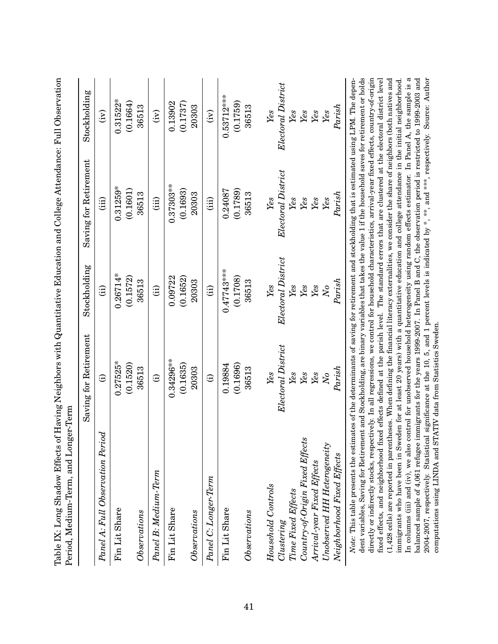| Table IX: Long Shadow Effects of Having Neighbors with Quantitative Education and College Attendance: Full Observation<br>Period, Medium-Term, and Lon                                                                                                                                                                                                                                                                                                                                                                                                                                                                                                                                                                                                                                                                                                                                                                                                                                                                                                                                                                                                                                                                                                                                                                                                                                                                                                 | ger-Term              |                     |                       |                           |
|--------------------------------------------------------------------------------------------------------------------------------------------------------------------------------------------------------------------------------------------------------------------------------------------------------------------------------------------------------------------------------------------------------------------------------------------------------------------------------------------------------------------------------------------------------------------------------------------------------------------------------------------------------------------------------------------------------------------------------------------------------------------------------------------------------------------------------------------------------------------------------------------------------------------------------------------------------------------------------------------------------------------------------------------------------------------------------------------------------------------------------------------------------------------------------------------------------------------------------------------------------------------------------------------------------------------------------------------------------------------------------------------------------------------------------------------------------|-----------------------|---------------------|-----------------------|---------------------------|
|                                                                                                                                                                                                                                                                                                                                                                                                                                                                                                                                                                                                                                                                                                                                                                                                                                                                                                                                                                                                                                                                                                                                                                                                                                                                                                                                                                                                                                                        | Saving for Retirement | Stockholding        | Saving for Retirement | Stockholding              |
| Panel A: Full Observation Period                                                                                                                                                                                                                                                                                                                                                                                                                                                                                                                                                                                                                                                                                                                                                                                                                                                                                                                                                                                                                                                                                                                                                                                                                                                                                                                                                                                                                       | $\widehat{\Xi}$       | $\hat{a}$           | (iii)                 | $\widetilde{S}$           |
| Fin Lit Share                                                                                                                                                                                                                                                                                                                                                                                                                                                                                                                                                                                                                                                                                                                                                                                                                                                                                                                                                                                                                                                                                                                                                                                                                                                                                                                                                                                                                                          | $0.27525*$            | $0.26714*$          | $0.31259*$            | $0.31522*$                |
|                                                                                                                                                                                                                                                                                                                                                                                                                                                                                                                                                                                                                                                                                                                                                                                                                                                                                                                                                                                                                                                                                                                                                                                                                                                                                                                                                                                                                                                        | (0.1520)              | (0.1572)            | (0.1601)              | (0.1664)                  |
| Observations                                                                                                                                                                                                                                                                                                                                                                                                                                                                                                                                                                                                                                                                                                                                                                                                                                                                                                                                                                                                                                                                                                                                                                                                                                                                                                                                                                                                                                           | 36513                 | 36513               | 36513                 | 36513                     |
| Panel B: Medium-Term                                                                                                                                                                                                                                                                                                                                                                                                                                                                                                                                                                                                                                                                                                                                                                                                                                                                                                                                                                                                                                                                                                                                                                                                                                                                                                                                                                                                                                   | $\odot$               | (i)                 | (iii)                 | $\widetilde{F}$           |
| Fin Lit Share                                                                                                                                                                                                                                                                                                                                                                                                                                                                                                                                                                                                                                                                                                                                                                                                                                                                                                                                                                                                                                                                                                                                                                                                                                                                                                                                                                                                                                          | $0.34296**$           | 0.09722             | $0.37303**$           | 0.13902                   |
|                                                                                                                                                                                                                                                                                                                                                                                                                                                                                                                                                                                                                                                                                                                                                                                                                                                                                                                                                                                                                                                                                                                                                                                                                                                                                                                                                                                                                                                        | (0.1635)              | (0.1652)            | (0.1693)              | (0.1737)                  |
| Observations                                                                                                                                                                                                                                                                                                                                                                                                                                                                                                                                                                                                                                                                                                                                                                                                                                                                                                                                                                                                                                                                                                                                                                                                                                                                                                                                                                                                                                           | 20303                 | 20303               | 20303                 | 20303                     |
| Panel C: Longer-Term                                                                                                                                                                                                                                                                                                                                                                                                                                                                                                                                                                                                                                                                                                                                                                                                                                                                                                                                                                                                                                                                                                                                                                                                                                                                                                                                                                                                                                   | $\widehat{\Xi}$       | $\hat{E}$           | (iii)                 | $\widetilde{F}$           |
| Fin Lit Share                                                                                                                                                                                                                                                                                                                                                                                                                                                                                                                                                                                                                                                                                                                                                                                                                                                                                                                                                                                                                                                                                                                                                                                                                                                                                                                                                                                                                                          | 0.19884               | $0.47743***$        | 0.24087               | $0.53712***$              |
|                                                                                                                                                                                                                                                                                                                                                                                                                                                                                                                                                                                                                                                                                                                                                                                                                                                                                                                                                                                                                                                                                                                                                                                                                                                                                                                                                                                                                                                        | (0.1696)              | (0.1708)            | (0.1789)              | (0.1759)                  |
| Observations                                                                                                                                                                                                                                                                                                                                                                                                                                                                                                                                                                                                                                                                                                                                                                                                                                                                                                                                                                                                                                                                                                                                                                                                                                                                                                                                                                                                                                           | 36513                 | 36513               | 36513                 | 36513                     |
| Household Controls                                                                                                                                                                                                                                                                                                                                                                                                                                                                                                                                                                                                                                                                                                                                                                                                                                                                                                                                                                                                                                                                                                                                                                                                                                                                                                                                                                                                                                     | Yes                   | $Y_{\mathcal{C}}$ s | Yes                   | Yes                       |
|                                                                                                                                                                                                                                                                                                                                                                                                                                                                                                                                                                                                                                                                                                                                                                                                                                                                                                                                                                                                                                                                                                                                                                                                                                                                                                                                                                                                                                                        |                       |                     |                       |                           |
| Time Fixed Effects<br>Clustering                                                                                                                                                                                                                                                                                                                                                                                                                                                                                                                                                                                                                                                                                                                                                                                                                                                                                                                                                                                                                                                                                                                                                                                                                                                                                                                                                                                                                       | Electoral District    | Electoral District  | Electoral District    | Electoral District<br>Yes |
|                                                                                                                                                                                                                                                                                                                                                                                                                                                                                                                                                                                                                                                                                                                                                                                                                                                                                                                                                                                                                                                                                                                                                                                                                                                                                                                                                                                                                                                        | Yes                   | Yes                 | $\gamma_{es}$         |                           |
| Country-of-Origin Fixed Effects                                                                                                                                                                                                                                                                                                                                                                                                                                                                                                                                                                                                                                                                                                                                                                                                                                                                                                                                                                                                                                                                                                                                                                                                                                                                                                                                                                                                                        | Yes                   | Yes                 | Yes                   | Yes                       |
| Arrival-year Fixed Effects                                                                                                                                                                                                                                                                                                                                                                                                                                                                                                                                                                                                                                                                                                                                                                                                                                                                                                                                                                                                                                                                                                                                                                                                                                                                                                                                                                                                                             | Yes                   | Yes                 | Yes                   | Yes                       |
| Unobserved HH Heterogeneity                                                                                                                                                                                                                                                                                                                                                                                                                                                                                                                                                                                                                                                                                                                                                                                                                                                                                                                                                                                                                                                                                                                                                                                                                                                                                                                                                                                                                            | $\overline{N}$        | $N_{O}$             | Yes                   | Yes                       |
| Neighborhood Fixed Effects                                                                                                                                                                                                                                                                                                                                                                                                                                                                                                                                                                                                                                                                                                                                                                                                                                                                                                                                                                                                                                                                                                                                                                                                                                                                                                                                                                                                                             | ${\it Paris} h$       | Parish              | Parish                | ${\it Paris} h$           |
| dent variables, Saving for Retirement and Stockholding, are binary variables that takes the value 1 if the household saves for retirement or holds<br>directly or indirectly stocks, respectively. In all regressions, we control for household characteristics, arrival-year fixed effects, country-of-origin<br>In columns (iii) and (iv), we also control for unobserved household heterogeneity using random effects estimator. In Panel A, the sample is a<br>balanced sample of 4,061 refugee immigrants for the years 1999-2007. In Panel B and C, the observation period is restricted to 1999-2003 and<br>Note: This table presents the estimates of the determinants of saving for retirement and stockholding that is estimated using LPM. The depen-<br>fixed effects, and neighborhood fixed effects defined at the parish level. The standard errors that are clustered at the electoral district level<br>$(1,428$ cells) are reported in parentheses. When defining the financial literacy externalities, we consider the share of neighbors (both natives and<br>2004-2007, respectively. Statistical significance at the 10, 5, and 1 percent levels is indicated by *, **, and ***, respectively. Source: Author<br>immigrants who have been in Sweden for at least 20 years) with a quantitative education and college attendance in the initial neighborhood.<br>computations using LINDA and STATIV data from Statistics Sweden. |                       |                     |                       |                           |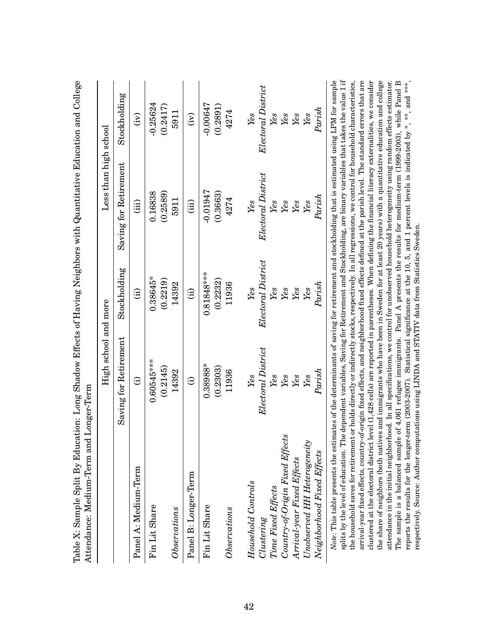|                                                                                                                                                                                  | High school and more                                                                                           |                        | Less than high school |                     |
|----------------------------------------------------------------------------------------------------------------------------------------------------------------------------------|----------------------------------------------------------------------------------------------------------------|------------------------|-----------------------|---------------------|
|                                                                                                                                                                                  |                                                                                                                |                        |                       |                     |
|                                                                                                                                                                                  | Saving for Retirement                                                                                          | Stockholding           | Saving for Retirement | Stockholding        |
| Panel A: Medium-Term                                                                                                                                                             | $\widehat{\Xi}$                                                                                                | $\widehat{\mathrm{d}}$ | (iii)                 | $\widetilde{E}$     |
| Fin Lit Share                                                                                                                                                                    | $0.60545***$                                                                                                   | $0.38645*$             | 0.16838               | $-0.25624$          |
|                                                                                                                                                                                  | (0.2145)                                                                                                       | (0.2219)               | (0.2589)              | (0.2417)            |
| $\label{thm:invariant} Observations$                                                                                                                                             | 14392                                                                                                          | 14392                  | 5911                  | 5911                |
| Panel B: Longer-Term                                                                                                                                                             | $\widehat{\Xi}$                                                                                                | $\widehat{\Xi}$        | $\hat{a}$             | $\widetilde{E}$     |
| Fin Lit Share                                                                                                                                                                    | $0.38988*$                                                                                                     | $0.81848***$           | $-0.01947$            | $-0.00647$          |
|                                                                                                                                                                                  | (0.2303)                                                                                                       | (0.2232)               | (0.3663)              | (0.2891)            |
| Observations                                                                                                                                                                     | 11936                                                                                                          | 11936                  | 4274                  | 4274                |
| Household Controls                                                                                                                                                               | Yes                                                                                                            | Yes                    | $\mathit{Yes}$        | Yes                 |
| Clustering                                                                                                                                                                       | Electoral District                                                                                             | Electoral District     | Electoral District    | Electoral District  |
| Time Fixed Effects                                                                                                                                                               | Yes                                                                                                            | Yes                    | Yes                   | Yes                 |
| Country-of-Origin Fixed Effects                                                                                                                                                  | Yes                                                                                                            | Yes                    | $Y_{\mathcal{C}}$ s   | Yes                 |
| Arrival-year Fixed Effects                                                                                                                                                       | Yes                                                                                                            | Yes                    | Yes                   | Yes                 |
| Unobserved HH Heterogeneity                                                                                                                                                      | Yes                                                                                                            | Yes                    | Yes                   | $Y_{\mathcal{C}}$ s |
| Neighborhood Fixed Effects                                                                                                                                                       | Parish                                                                                                         | Parish                 | ${\it Paris} h$       | Parish              |
| Note: This table presents the estimates of the determinants of saving for retirement and stockholding that is estimated using LPM for sample<br>enlite by the level of education | The dependent variables. Saving for Betirement and Stockholding are binary variables that takes the value 1 if |                        |                       |                     |

Table X: Sample Split By Education: Long Shadow Effects of Having Neighbors with Quantitative Education and College Table X: Sample Split By Education: Long Shadow Effects of Having Neighbors with Quantitative Education and College

the share of neighbors (both natives and immigrants who have been in Sweden for at least 20 years) with a quantitative education and college  $splits$  by the level of education. The dependent variables, Saving for Retirement and Stockholding, are binary variables that takes the value 1 if arrival-year fixed effects, country-of-origin fixed effects, and neighborhood fixed effects defined at the parish level. The standard errors that are clustered at the electoral district level (1,428 cells) are reported in parentheses. When defining the financial literacy externalities, we consider The sample is a balanced sample of 4,061 refugee immigrants. Panel A presents the results for medium-term (1999-2003), while Panel B reports the results for the longer-term (2003-2007). Statistical significance at the 10, 5, and 1 percent levels is indicated by \*, \*\*, and \*\*\*, the household saves for retirement or holds directly or indirectly stocks, respectively. In all regressions, we control for household characteristics, attendance in the initial neighborhood. In all specifications, we control for unobserved household heterogeneity using random effects estimator. The sample is a balanced sample of 4,061 refugee immigrants. Panel A presents the results for medium-term (1999-2003), while Panel B the household saves for retirement or holds directly or indirectly stocks, respectively. In all regressions, we control for household characteristics, arrival-year fixed effects, country-of-origin fixed effects, and neighborhood fixed effects defined at the parish level. The standard errors that are clustered at the electoral district level (1,428 cells) are reported in parentheses. When defining the financial literacy externalities, we consider the share of neighbors (both natives and immigrants who have been in Sweden for at least 20 years) with a quantitative education and college attendance in the initial neighborhood. In all specifications, we control for unobserved household heterogeneity using random effects estimator. reports the results for the longer-term (2003-2007). Statistical significance at the 10, 5, and 1 percent levels is indicated by \*, \*\*, and \*\*\*,  $\frac{1}{2}$ respectively. Source: Author computations using LINDA and STATIV data from Statistics Sweden. respectively. Source: Author computations using LINDA and STATIV data from Statistics Sweden. á,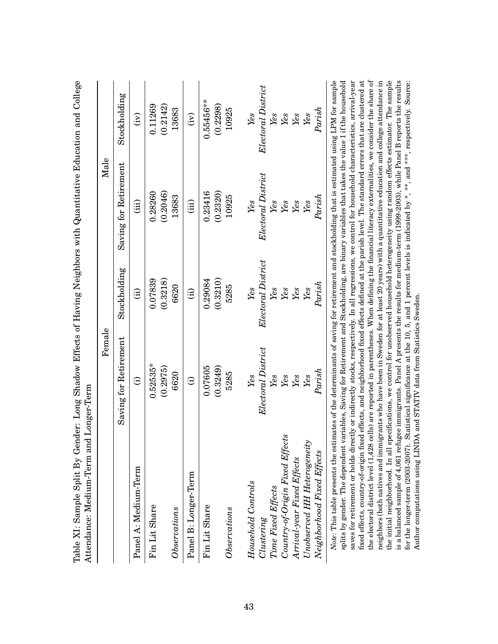| Saving for Retirement<br>Electoral District<br>(0.2046)<br>0.23416<br>(0.2320)<br>0.28260<br>${\it Paris} h$<br>10925<br>13683<br>Yes<br>Yes<br>Yes<br>(iii)<br>(iii)<br>Yes<br>Yes<br>Electoral District<br>Stockholding<br>(0.3218)<br>(0.3210)<br>0.07839<br>0.29084<br>Parish<br>5285<br>6620<br>Yes<br>Yes<br>Yes<br>Yes<br>Yes<br>$\widehat{E}$<br>$\hat{a}$<br>Saving for Retirement<br>Electoral District<br>$0.52535*$<br>(0.2975)<br>(0.3249)<br>0.07605<br>Parish<br>5285<br>6620<br>Yes<br>Yes<br>Yes<br>Yes<br>Yes<br>$\widehat{\Xi}$<br>$\widehat{\Xi}$<br>Country-of-Origin Fixed Effects<br>Unobserved HH Heterogeneity<br>Neighborhood Fixed Effects<br>Arrival-year Fixed Effects<br>Panel A: Medium-Term<br>Panel B: Longer-Term<br>Household Controls<br>Time Fixed Effects<br>Fin Lit Share<br>Fin Lit Share<br>$\label{thm:obs} Observations$<br>Observations<br>Clustering | Female | $\rm _{Male}$ |                     |
|---------------------------------------------------------------------------------------------------------------------------------------------------------------------------------------------------------------------------------------------------------------------------------------------------------------------------------------------------------------------------------------------------------------------------------------------------------------------------------------------------------------------------------------------------------------------------------------------------------------------------------------------------------------------------------------------------------------------------------------------------------------------------------------------------------------------------------------------------------------------------------------------------|--------|---------------|---------------------|
|                                                                                                                                                                                                                                                                                                                                                                                                                                                                                                                                                                                                                                                                                                                                                                                                                                                                                                   |        |               | Stockholding        |
|                                                                                                                                                                                                                                                                                                                                                                                                                                                                                                                                                                                                                                                                                                                                                                                                                                                                                                   |        |               | $\widetilde{E}$     |
|                                                                                                                                                                                                                                                                                                                                                                                                                                                                                                                                                                                                                                                                                                                                                                                                                                                                                                   |        |               | (0.2142)<br>0.11269 |
|                                                                                                                                                                                                                                                                                                                                                                                                                                                                                                                                                                                                                                                                                                                                                                                                                                                                                                   |        |               | 13683               |
|                                                                                                                                                                                                                                                                                                                                                                                                                                                                                                                                                                                                                                                                                                                                                                                                                                                                                                   |        |               | $\widehat{E}$       |
|                                                                                                                                                                                                                                                                                                                                                                                                                                                                                                                                                                                                                                                                                                                                                                                                                                                                                                   |        |               | $0.55456***$        |
|                                                                                                                                                                                                                                                                                                                                                                                                                                                                                                                                                                                                                                                                                                                                                                                                                                                                                                   |        |               | (0.2298)            |
|                                                                                                                                                                                                                                                                                                                                                                                                                                                                                                                                                                                                                                                                                                                                                                                                                                                                                                   |        |               | 10925               |
|                                                                                                                                                                                                                                                                                                                                                                                                                                                                                                                                                                                                                                                                                                                                                                                                                                                                                                   |        |               | Yes                 |
|                                                                                                                                                                                                                                                                                                                                                                                                                                                                                                                                                                                                                                                                                                                                                                                                                                                                                                   |        |               | Electoral District  |
|                                                                                                                                                                                                                                                                                                                                                                                                                                                                                                                                                                                                                                                                                                                                                                                                                                                                                                   |        |               | Yes                 |
|                                                                                                                                                                                                                                                                                                                                                                                                                                                                                                                                                                                                                                                                                                                                                                                                                                                                                                   |        |               | Yes                 |
|                                                                                                                                                                                                                                                                                                                                                                                                                                                                                                                                                                                                                                                                                                                                                                                                                                                                                                   |        |               | Yes                 |
|                                                                                                                                                                                                                                                                                                                                                                                                                                                                                                                                                                                                                                                                                                                                                                                                                                                                                                   |        |               | Yes                 |
|                                                                                                                                                                                                                                                                                                                                                                                                                                                                                                                                                                                                                                                                                                                                                                                                                                                                                                   |        |               | Parish              |

Table XI: Sample Split By Gender: Long Shadow Effects of Having Neighbors with Quantitative Education and College Table XI: Sample Split By Gender: Long Shadow Effects of Having Neighbors with Quantitative Education and College

the electoral district level (1,428 cells) are reported in parentheses. When defining the financial literacy externalities, we consider the share of the initial neighborhood. In all specifications, we control for unobserved household heterogeneity using random effects estimator. The sample fixed effects, country-of-origin fixed effects, and neighborhood fixed effects defined at the parish level. The standard errors that are clustered at is a balanced sample of 4,061 refugee immigrants. Panel A presents the results for medium-term (1999-2003), while Panel B reports the results splits by gender. The dependent variables, Saving for Ketirement and Stockholding, are binary variables that takes the value 1 if the household saves for retirement or holds directly or indirectly stocks, respectively. In all regressions, we control for household characteristics, arrival-year the electoral district level (1,428 cells) are reported in parentheses. When defining the financial literacy externalities, we consider the share of neighbors (both natives and immigrants who have been in Sweden for at least 20 years) with a quantitative education and college attendance in for the longer-term (2003-2007). Statistical significance at the 10, 5, and 1 percent levels is indicated by \*, \*\*, and \*\*\*, respectively. Source: splits by gender. The dependent variables, Saving for Retirement and Stockholding, are binary variables that takes the value 1 if the household saves for retirement or holds directly or indirectly stocks, respectively. In all regressions, we control for household characteristics, arrival-year fixed effects, country-of-origin fixed effects, and neighborhood fixed effects defined at the parish level. The standard errors that are clustered at neighbors (both natives and immigrants who have been in Sweden for at least 20 years) with a quantitative education and college attendance in the initial neighborhood. In all specifications, we control for unobserved household heterogeneity using random effects estimator. The sample is a balanced sample of 4,061 refugee immigrants. Panel A presents the results for medium-term (1999-2003), while Panel B reports the results for the longer-term (2003-2007). Statistical significance at the 10, 5, and 1 percent levels is indicated by \*, \*\*, and \*\*\*, respectively. Source: Author computations using LINDA and STATIV data from Statistics Sweden. Author computations using LINDA and STATIV data from Statistics Sweden.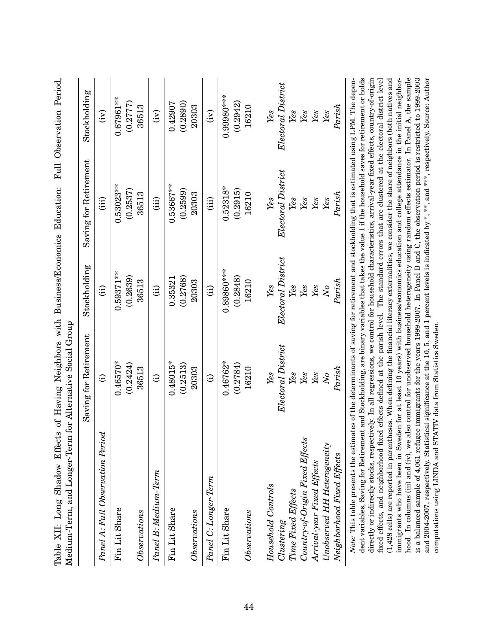| Table XII: Long Shadow Effects of Having Neighbors with Business/Economics Education:<br>Medium-Term, and Longer-Term for Alternative Social Group                                                                                                                                                                                                                                                                                                                                                                                                                                                                                                                                                                                                                                                                                                                                                                                                                                                                                                                                                                                                                                                                                      |                                                                                                                                                                                                                           |                    |                       | Full Observation Period, |
|-----------------------------------------------------------------------------------------------------------------------------------------------------------------------------------------------------------------------------------------------------------------------------------------------------------------------------------------------------------------------------------------------------------------------------------------------------------------------------------------------------------------------------------------------------------------------------------------------------------------------------------------------------------------------------------------------------------------------------------------------------------------------------------------------------------------------------------------------------------------------------------------------------------------------------------------------------------------------------------------------------------------------------------------------------------------------------------------------------------------------------------------------------------------------------------------------------------------------------------------|---------------------------------------------------------------------------------------------------------------------------------------------------------------------------------------------------------------------------|--------------------|-----------------------|--------------------------|
|                                                                                                                                                                                                                                                                                                                                                                                                                                                                                                                                                                                                                                                                                                                                                                                                                                                                                                                                                                                                                                                                                                                                                                                                                                         | Saving for Retirement                                                                                                                                                                                                     | Stockholding       | Saving for Retirement | Stockholding             |
| Panel A: Full Observation Period                                                                                                                                                                                                                                                                                                                                                                                                                                                                                                                                                                                                                                                                                                                                                                                                                                                                                                                                                                                                                                                                                                                                                                                                        | $\widehat{\Xi}$                                                                                                                                                                                                           | $\hat{H}$          | (iii)                 | $\widehat{F}$            |
| Fin Lit Share                                                                                                                                                                                                                                                                                                                                                                                                                                                                                                                                                                                                                                                                                                                                                                                                                                                                                                                                                                                                                                                                                                                                                                                                                           | $0.46570*$                                                                                                                                                                                                                | $0.59371**$        | $0.53023**$           | $0.67961**$              |
|                                                                                                                                                                                                                                                                                                                                                                                                                                                                                                                                                                                                                                                                                                                                                                                                                                                                                                                                                                                                                                                                                                                                                                                                                                         | (0.2424)                                                                                                                                                                                                                  | (0.2639)           | (0.2537)              | (0.2777)                 |
| Observations                                                                                                                                                                                                                                                                                                                                                                                                                                                                                                                                                                                                                                                                                                                                                                                                                                                                                                                                                                                                                                                                                                                                                                                                                            | 36513                                                                                                                                                                                                                     | 36513              | 36513                 | 36513                    |
| Panel B: Medium-Term                                                                                                                                                                                                                                                                                                                                                                                                                                                                                                                                                                                                                                                                                                                                                                                                                                                                                                                                                                                                                                                                                                                                                                                                                    | $\widehat{\Xi}$                                                                                                                                                                                                           | (i)                | (iii)                 | $\widehat{E}$            |
| Fin Lit Share                                                                                                                                                                                                                                                                                                                                                                                                                                                                                                                                                                                                                                                                                                                                                                                                                                                                                                                                                                                                                                                                                                                                                                                                                           | $0.48015*$                                                                                                                                                                                                                | 0.35321            | $0.53667***$          | 0.42907                  |
|                                                                                                                                                                                                                                                                                                                                                                                                                                                                                                                                                                                                                                                                                                                                                                                                                                                                                                                                                                                                                                                                                                                                                                                                                                         | (0.2513)                                                                                                                                                                                                                  | (0.2768)           | (0.2599)              | (0.2890)                 |
| Observations                                                                                                                                                                                                                                                                                                                                                                                                                                                                                                                                                                                                                                                                                                                                                                                                                                                                                                                                                                                                                                                                                                                                                                                                                            | 20303                                                                                                                                                                                                                     | 20303              | 20303                 | 20303                    |
| Panel C: Longer-Term                                                                                                                                                                                                                                                                                                                                                                                                                                                                                                                                                                                                                                                                                                                                                                                                                                                                                                                                                                                                                                                                                                                                                                                                                    | $\oplus$                                                                                                                                                                                                                  | (i)                | (iii)                 | (iv)                     |
| Fin Lit Share                                                                                                                                                                                                                                                                                                                                                                                                                                                                                                                                                                                                                                                                                                                                                                                                                                                                                                                                                                                                                                                                                                                                                                                                                           | $0.46762*$                                                                                                                                                                                                                | $0.89860***$       | $0.52318*$            | $0.99980***$             |
|                                                                                                                                                                                                                                                                                                                                                                                                                                                                                                                                                                                                                                                                                                                                                                                                                                                                                                                                                                                                                                                                                                                                                                                                                                         | (0.2784)                                                                                                                                                                                                                  | (0.2848)           | (0.2915)              | (0.2942)                 |
| Observations                                                                                                                                                                                                                                                                                                                                                                                                                                                                                                                                                                                                                                                                                                                                                                                                                                                                                                                                                                                                                                                                                                                                                                                                                            | 16210                                                                                                                                                                                                                     | 16210              | 16210                 | 16210                    |
|                                                                                                                                                                                                                                                                                                                                                                                                                                                                                                                                                                                                                                                                                                                                                                                                                                                                                                                                                                                                                                                                                                                                                                                                                                         |                                                                                                                                                                                                                           | Yes                |                       |                          |
| Household Controls                                                                                                                                                                                                                                                                                                                                                                                                                                                                                                                                                                                                                                                                                                                                                                                                                                                                                                                                                                                                                                                                                                                                                                                                                      | Yes                                                                                                                                                                                                                       |                    | Yes                   | Yes                      |
| Clustering                                                                                                                                                                                                                                                                                                                                                                                                                                                                                                                                                                                                                                                                                                                                                                                                                                                                                                                                                                                                                                                                                                                                                                                                                              | Electoral District                                                                                                                                                                                                        | Electoral District | Electoral District    | Electoral District       |
| Time Fixed Effects                                                                                                                                                                                                                                                                                                                                                                                                                                                                                                                                                                                                                                                                                                                                                                                                                                                                                                                                                                                                                                                                                                                                                                                                                      | Yes                                                                                                                                                                                                                       | Yes                | Yes                   | Yes                      |
| Country-of-Origin Fixed Effects                                                                                                                                                                                                                                                                                                                                                                                                                                                                                                                                                                                                                                                                                                                                                                                                                                                                                                                                                                                                                                                                                                                                                                                                         | Yes                                                                                                                                                                                                                       | Yes                | Yes                   | Yes                      |
| Arrival-year Fixed Effects                                                                                                                                                                                                                                                                                                                                                                                                                                                                                                                                                                                                                                                                                                                                                                                                                                                                                                                                                                                                                                                                                                                                                                                                              | Yes                                                                                                                                                                                                                       | Yes                | Yes                   | Yes                      |
| Unobserved HH Heterogeneity                                                                                                                                                                                                                                                                                                                                                                                                                                                                                                                                                                                                                                                                                                                                                                                                                                                                                                                                                                                                                                                                                                                                                                                                             | $\overline{N}$                                                                                                                                                                                                            | $\overline{N}$     | Yes                   | Yes                      |
| Neighborhood Fixed Effects                                                                                                                                                                                                                                                                                                                                                                                                                                                                                                                                                                                                                                                                                                                                                                                                                                                                                                                                                                                                                                                                                                                                                                                                              | Parish                                                                                                                                                                                                                    | Parish             | Parish                | Parish                   |
| dent variables, Saving for Retirement and Stockholding, are binary variables that takes the value 1 if the household saves for retirement or holds<br>immigrants who have been in Sweden for at least 10 years) with business/economics education and college attendance in the initial neighbor-<br>and 2004-2007, respectively. Statistical significance at the 10, 5, and 1 percent levels is indicated by *, ***, and ***, respectively. Source: Author<br>directly or indirectly stocks, respectively. In all regressions, we control for household characteristics, arrival-year fixed effects, country-of-origin<br>fixed effects, and neighborhood fixed effects defined at the parish level. The standard errors that are clustered at the electoral district level<br>$(1,428$ cells) are reported in parentheses. When defining the financial literacy externalities, we consider the share of neighbors (both natives and<br>Note: This table presents the estimates of the determinants of saving for retirement and stockholding that is estimated using LPM. The depen-<br>computations using LINDA and STATIV data from Statistics Sweden.<br>hood. In columns (iii) and (iv), we<br>is a balanced sample of 4,061 refu | also control for unobserved household heterogeneity using random effects estimator. In Panel A, the sample<br>gee immigrants for the years 1999-2007. In Panel B and C, the observation period is restricted to 1999-2003 |                    |                       |                          |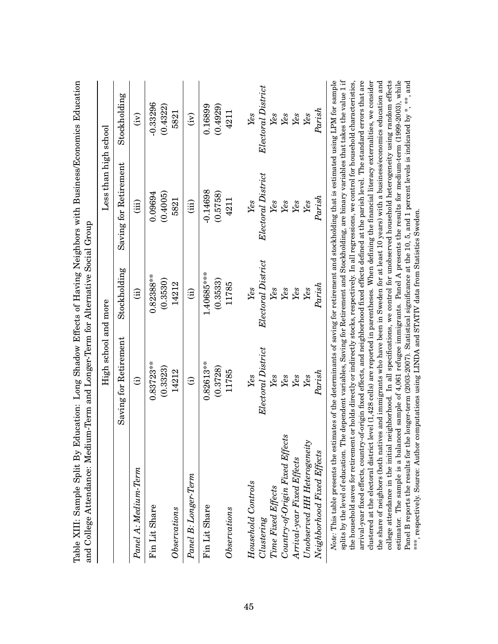|                                                                                                                                                                                     | High school and more  |                    | Less than $\operatorname{high\; school}$                                                                        |                    |
|-------------------------------------------------------------------------------------------------------------------------------------------------------------------------------------|-----------------------|--------------------|-----------------------------------------------------------------------------------------------------------------|--------------------|
|                                                                                                                                                                                     | Saving for Retirement | Stockholding       | Saving for Retirement                                                                                           | Stockholding       |
| Panel A: Medium-Term                                                                                                                                                                | Θ                     | $\widehat{H}$      | (iii)                                                                                                           | $\widetilde{E}$    |
| Fin Lit Share                                                                                                                                                                       | $0.83723**$           | $0.82388***$       | 0.09694                                                                                                         | $-0.33296$         |
| $\label{thm:obs} Observations$                                                                                                                                                      | (0.3323)<br>14212     | (0.3530)<br>14212  | (0.4005)<br>5821                                                                                                | (0.4322)<br>5821   |
| Panel B: Longer-Term                                                                                                                                                                | $\widehat{\Xi}$       | $\widehat{\Xi}$    | (iii)                                                                                                           | $\widehat{E}$      |
| Fin Lit Share                                                                                                                                                                       | $0.82613***$          | 1.40685***         | $-0.14698$                                                                                                      | 0.16899            |
|                                                                                                                                                                                     | (0.3728)              | (0.3533)           | (0.5758)                                                                                                        | (0.4929)           |
| $\label{thm:invariant} Observations$                                                                                                                                                | 11785                 | 11785              | 4211                                                                                                            | 4211               |
| Household Controls                                                                                                                                                                  | Yes                   | Yes                | Yes                                                                                                             | Yes                |
| Clustering                                                                                                                                                                          | Electoral District    | Electoral District | Electoral District                                                                                              | Electoral District |
| Time Fixed Effects                                                                                                                                                                  | Yes                   | Yes                | Yes                                                                                                             | Yes                |
| Country-of-Origin Fixed Effects                                                                                                                                                     | Yes                   | Yes                | Yes                                                                                                             | Yes                |
| Arrival-year Fixed Effects                                                                                                                                                          | Yes                   | Yes                | Yes                                                                                                             | Yes                |
| Unobserved HH Heterogeneity                                                                                                                                                         | Yes                   | Yes                | Yes                                                                                                             | Yes                |
| Neighborhood Fixed Effects                                                                                                                                                          | ${\it Paris} h$       | Parish             | ${\it Paris} h$                                                                                                 | Parish             |
| $Note: This table presents the estimates of the determinants of saving for retirement and stocholding that is estimated using LPM for sample.$<br>splits by the level of education. |                       |                    | The dependent variables, Saving for Retirement and Stockholding, are binary variables that takes the value 1 if |                    |

Table XIII: Sample Split By Education: Long Shadow Effects of Having Neighbors with Business/Economics Education Table XIII: Sample Split By Education: Long Shadow Effects of Having Neighbors with Business/Economics Education

clustered at the electoral district level (1,428 cells) are reported in parentheses. When defining the financial literacy externalities, we consider<br>the share of neighbors (both natives and immigrants who have been in Swed  $splits$  by the level of education. The dependent variables, Saving for Retirement and Stockholding, are binary variables that takes the value 1 if arrival-year fixed effects, country-of-origin fixed effects, and neighborhood fixed effects defined at the parish level. The standard errors that are college attendance in the initial neighborhood. In all specifications, we control for unobserved household heterogeneity using random effects estimator. The sample is a balanced sample of 4,061 refugee immigrants. Panel A presents the results for medium-term (1999-2003), while the household saves for retirement or holds directly or indirectly stocks, respectively. In all regressions, we control for household characteristics, Panel B reports the results for the longer-term (2003-2007). Statistical significance at the 10, 5, and 1 percent levels is indicated by \*, \*\*, and the household saves for retirement or holds directly or indirectly stocks, respectively. In all regressions, we control for household characteristics, arrival-year fixed effects, country-of-origin fixed effects, and neighborhood fixed effects defined at the parish level. The standard errors that are clustered at the electoral district level (1,428 cells) are reported in parentheses. When defining the financial literacy externalities, we consider the share of neighbors (both natives and immigrants who have been in Sweden for at least 10 years) with a business/economics education and college attendance in the initial neighborhood. In all specifications, we control for unobserved household heterogeneity using random effects estimator. The sample is a balanced sample of 4,061 refugee immigrants. Panel A presents the results for medium-term (1999-2003), while Panel B reports the results for the longer-term (2003-2007). Statistical significance at the 10, 5, and 1 percent levels is indicated by \*, \*\*, and \*\*\*, respectively. Source: Author computations using LINDA and STATIV data from Statistics Sweden. \*\*\*, respectively. Source: Author computations using LINDA and STATIV data from Statistics Sweden.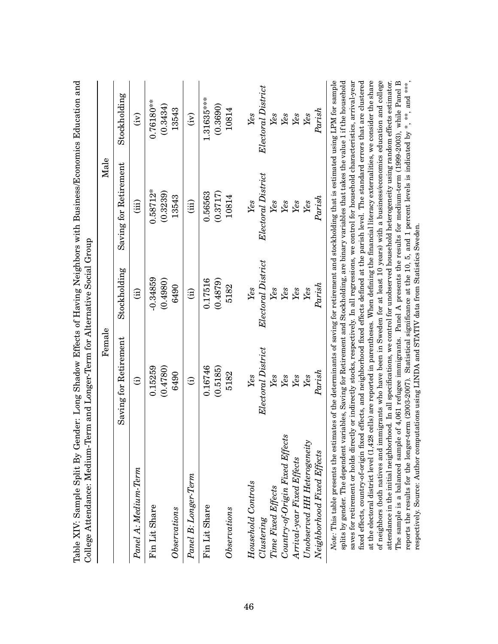|                                                                                                                                                                                                                                                                                                 | Female                |                        | Male                  |                    |
|-------------------------------------------------------------------------------------------------------------------------------------------------------------------------------------------------------------------------------------------------------------------------------------------------|-----------------------|------------------------|-----------------------|--------------------|
|                                                                                                                                                                                                                                                                                                 | Saving for Retirement | Stockholding           | Saving for Retirement | Stockholding       |
| Panel A: Medium-Term                                                                                                                                                                                                                                                                            | $\widehat{\Xi}$       | $\widehat{\mathrm{d}}$ | (iii)                 | $\widetilde{E}$    |
| Fin Lit Share                                                                                                                                                                                                                                                                                   | 0.15259               | $-0.34859$             | $0.58712*$            | $0.76180**$        |
|                                                                                                                                                                                                                                                                                                 | (0.4780)              | (0.4980)               | (0.3239)              | (0.3434)           |
| $\label{thm:obs} Observations$                                                                                                                                                                                                                                                                  | 6490                  | 6490                   | 13543                 | 13543              |
| Panel B: Longer-Term                                                                                                                                                                                                                                                                            | $\widehat{\Xi}$       | $\hat{a}$              | (iii)                 | $\widetilde{E}$    |
| Fin Lit Share                                                                                                                                                                                                                                                                                   | 0.16746               | 0.17516                | 0.56563               | 1.31635***         |
|                                                                                                                                                                                                                                                                                                 | (0.5185)              | (0.4879)               | (0.3717)              | (0.3690)           |
| $\label{thm:invariant} Observations$                                                                                                                                                                                                                                                            | 5182                  | 5182                   | 10814                 | 10814              |
| Household Controls                                                                                                                                                                                                                                                                              | Yes                   | Yes                    | $\mathit{Yes}$        | Yes                |
| Clustering                                                                                                                                                                                                                                                                                      | Electoral District    | Electoral District     | Electoral District    | Electoral District |
| Time Fixed Effects                                                                                                                                                                                                                                                                              | Yes                   | Yes                    | Yes                   | Yes                |
| Country-of-Origin Fixed Effects                                                                                                                                                                                                                                                                 | Yes                   | Yes                    | Yes                   | Yes                |
| Arrival-year Fixed Effects                                                                                                                                                                                                                                                                      | Yes                   | Yes                    | Yes                   | Yes                |
| Unobserved HH Heterogeneity                                                                                                                                                                                                                                                                     | Yes                   | Yes                    | Yes                   | Yes                |
| Neighborhood Fixed Effects                                                                                                                                                                                                                                                                      | ${\it Paris} h$       | Parish                 | Parish                | Parish             |
| Note: This table presents the estimates of the determinants of saving for retirement and stockholding that is estimated using LPM for sample<br>splits by gender. The dependent variables, Saving for Retirement and Stockholding, are binary variables that takes the value 1 if the household |                       |                        |                       |                    |

Table XIV: Sample Split By Gender: Long Shadow Effects of Having Neighbors with Business/Economics Education and Table XIV: Sample Split By Gender: Long Shadow Effects of Having Neighbors with Business/Economics Education and

at the electoral district level (1,428 cells) are reported in parentheses. When defining the financial literacy externalities, we consider the share of neighbors (both natives and immigrants who have been in Sweden for at least 10 years) with a business/economics education and college The sample is a balanced sample of 4,061 refugee immigrants. Panel A presents the results for medium-term (1999-2003), while Panel B reports the results for the longer-term (2003-2007). Statistical significance at the 10, 5, and 1 percent levels is indicated by \*, \*\*, and \*\*\*, saves for retirement or holds directly or indirectly stocks, respectively. In all regressions, we control for household characteristics, arrival-year fixed effects, country-of-origin fixed effects, and neighborhood fixed effects defined at the parish level. The standard errors that are clustered attendance in the initial neighborhood. In all specifications, we control for unobserved household heterogeneity using random effects estimator. The sample is a balanced sample of 4,061 refugee immigrants. Panel A presents the results for medium-term (1999-2003), while Panel B splits by gender. The dependent variables, Saving for Retirement and Stockholding, are binary variables that takes the value 1 if the household saves for retirement or holds directly or indirectly stocks, respectively. In all regressions, we control for household characteristics, arrival-year fixed effects, country-of-origin fixed effects, and neighborhood fixed effects defined at the parish level. The standard errors that are clustered at the electoral district level (1,428 cells) are reported in parentheses. When defining the financial literacy externalities, we consider the share of neighbors (both natives and immigrants who have been in Sweden for at least 10 years) with a business/economics education and college attendance in the initial neighborhood. In all specifications, we control for unobserved household heterogeneity using random effects estimator. reports the results for the longer-term (2003-2007). Statistical significance at the 10, 5, and 1 percent levels is indicated by \*, \*\*, and \*\*\*, respectively. Source: Author computations using LINDA and STATIV data from Statistics Sweden. respectively. Source: Author computations using LINDA and STATIV data from Statistics Sweden.